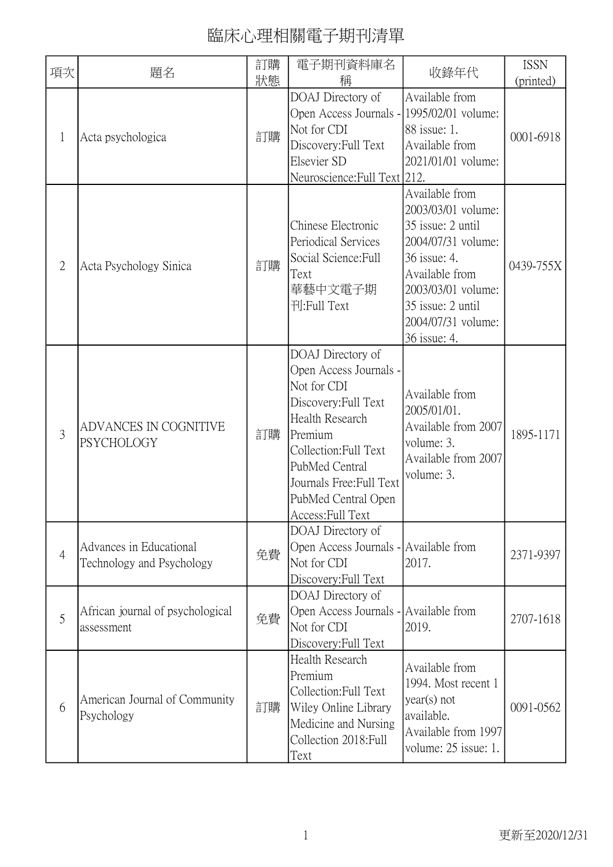| 項次             | 題名                                                   | 訂購<br>狀態 | 電子期刊資料庫名<br>稱                                                                                                                                                                                                                              | 收錄年代                                                                                                                                                                                               | <b>ISSN</b><br>(printed) |
|----------------|------------------------------------------------------|----------|--------------------------------------------------------------------------------------------------------------------------------------------------------------------------------------------------------------------------------------------|----------------------------------------------------------------------------------------------------------------------------------------------------------------------------------------------------|--------------------------|
| $\mathbf 1$    | Acta psychologica                                    | 訂購       | DOAJ Directory of<br>Open Access Journals - 1995/02/01 volume:<br>Not for CDI<br>Discovery: Full Text<br>Elsevier SD<br>Neuroscience: Full Text 212.                                                                                       | Available from<br>88 issue: 1.<br>Available from<br>2021/01/01 volume:                                                                                                                             | 0001-6918                |
| $\overline{2}$ | Acta Psychology Sinica                               | 訂購       | Chinese Electronic<br>Periodical Services<br>Social Science: Full<br>Text<br>華藝中文電子期<br>刊:Full Text                                                                                                                                        | Available from<br>2003/03/01 volume:<br>35 issue: 2 until<br>2004/07/31 volume:<br>36 issue: 4.<br>Available from<br>2003/03/01 volume:<br>35 issue: 2 until<br>2004/07/31 volume:<br>36 issue: 4. | 0439-755X                |
| 3              | ADVANCES IN COGNITIVE<br>PSYCHOLOGY                  | 訂購       | DOAJ Directory of<br>Open Access Journals -<br>Not for CDI<br>Discovery: Full Text<br><b>Health Research</b><br>Premium<br>Collection: Full Text<br>PubMed Central<br>Journals Free: Full Text<br>PubMed Central Open<br>Access: Full Text | Available from<br>2005/01/01.<br>Available from 2007<br>volume: 3.<br>Available from 2007<br>volume: 3.                                                                                            | 1895-1171                |
| $\overline{4}$ | Advances in Educational<br>Technology and Psychology | 免費       | DOAJ Directory of<br>Open Access Journals - Available from<br>Not for CDI<br>Discovery: Full Text                                                                                                                                          | 2017.                                                                                                                                                                                              | 2371-9397                |
| 5              | African journal of psychological<br>assessment       | 免費       | DOAJ Directory of<br>Open Access Journals - Available from<br>Not for CDI<br>Discovery: Full Text                                                                                                                                          | 2019.                                                                                                                                                                                              | 2707-1618                |
| 6              | American Journal of Community<br>Psychology          | 訂購       | Health Research<br>Premium<br>Collection: Full Text<br>Wiley Online Library<br>Medicine and Nursing<br>Collection 2018: Full<br>Text                                                                                                       | Available from<br>1994. Most recent 1<br>$year(s)$ not<br>available.<br>Available from 1997<br>volume: 25 issue: 1.                                                                                | 0091-0562                |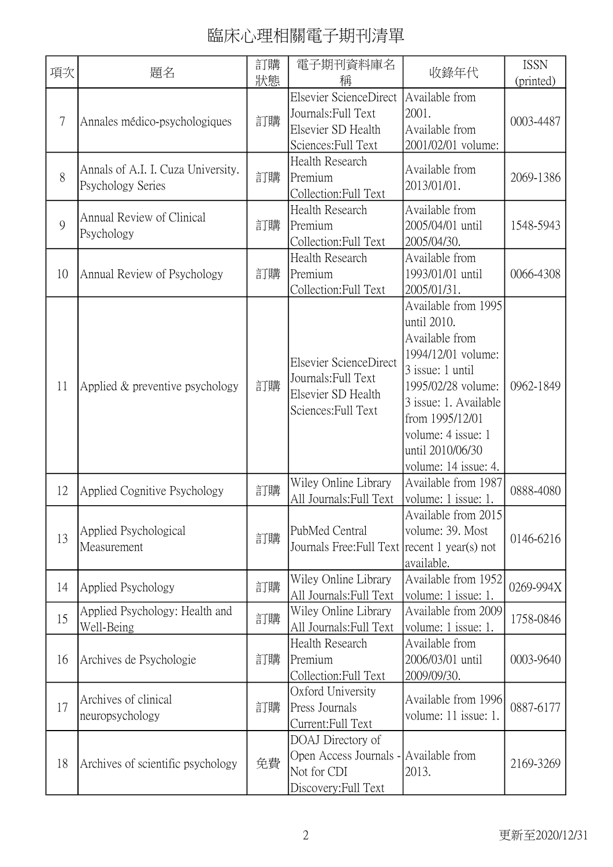| 項次     | 題名                                                      | 訂購<br>狀態 | 電子期刊資料庫名<br>稱                                                                                     | 收錄年代                                                                                                                                                                                                                               | <b>ISSN</b><br>(printed) |
|--------|---------------------------------------------------------|----------|---------------------------------------------------------------------------------------------------|------------------------------------------------------------------------------------------------------------------------------------------------------------------------------------------------------------------------------------|--------------------------|
| $\tau$ | Annales médico-psychologiques                           | 訂購       | Elsevier ScienceDirect<br>Journals: Full Text<br>Elsevier SD Health<br>Sciences: Full Text        | Available from<br>2001.<br>Available from<br>2001/02/01 volume:                                                                                                                                                                    | 0003-4487                |
| 8      | Annals of A.I. I. Cuza University.<br>Psychology Series | 訂購       | Health Research<br>Premium<br>Collection: Full Text                                               | Available from<br>2013/01/01.                                                                                                                                                                                                      | 2069-1386                |
| 9      | Annual Review of Clinical<br>Psychology                 | 訂購       | Health Research<br>Premium<br>Collection: Full Text                                               | Available from<br>2005/04/01 until<br>2005/04/30.                                                                                                                                                                                  | 1548-5943                |
| 10     | Annual Review of Psychology                             | 訂購       | Health Research<br>Premium<br>Collection: Full Text                                               | Available from<br>1993/01/01 until<br>2005/01/31.                                                                                                                                                                                  | 0066-4308                |
| 11     | Applied & preventive psychology                         | 訂購       | Elsevier ScienceDirect<br>Journals: Full Text<br>Elsevier SD Health<br>Sciences: Full Text        | Available from 1995<br>until 2010.<br>Available from<br>1994/12/01 volume:<br>3 issue: 1 until<br>1995/02/28 volume:<br>3 issue: 1. Available<br>from 1995/12/01<br>volume: 4 issue: 1<br>until 2010/06/30<br>volume: 14 issue: 4. | 0962-1849                |
| 12     | Applied Cognitive Psychology                            | 訂購       | Wiley Online Library<br>All Journals: Full Text                                                   | Available from 1987<br>volume: 1 issue: 1.                                                                                                                                                                                         | 0888-4080                |
| 13     | Applied Psychological<br>Measurement                    | 訂購       | PubMed Central<br>Journals Free: Full Text recent 1 year(s) not                                   | Available from 2015<br>volume: 39. Most<br>available.                                                                                                                                                                              | 0146-6216                |
| 14     | Applied Psychology                                      | 訂購       | Wiley Online Library<br>All Journals: Full Text                                                   | Available from 1952<br>volume: 1 issue: 1.                                                                                                                                                                                         | 0269-994X                |
| 15     | Applied Psychology: Health and<br>Well-Being            | 訂購       | Wiley Online Library<br>All Journals: Full Text                                                   | Available from 2009<br>volume: 1 issue: 1.                                                                                                                                                                                         | 1758-0846                |
| 16     | Archives de Psychologie                                 | 訂購       | Health Research<br>Premium<br>Collection: Full Text                                               | Available from<br>2006/03/01 until<br>2009/09/30.                                                                                                                                                                                  | 0003-9640                |
| 17     | Archives of clinical<br>neuropsychology                 | 訂購       | Oxford University<br>Press Journals<br>Current:Full Text                                          | Available from 1996<br>volume: 11 issue: 1.                                                                                                                                                                                        | 0887-6177                |
| 18     | Archives of scientific psychology                       | 免費       | DOAJ Directory of<br>Open Access Journals - Available from<br>Not for CDI<br>Discovery: Full Text | 2013.                                                                                                                                                                                                                              | 2169-3269                |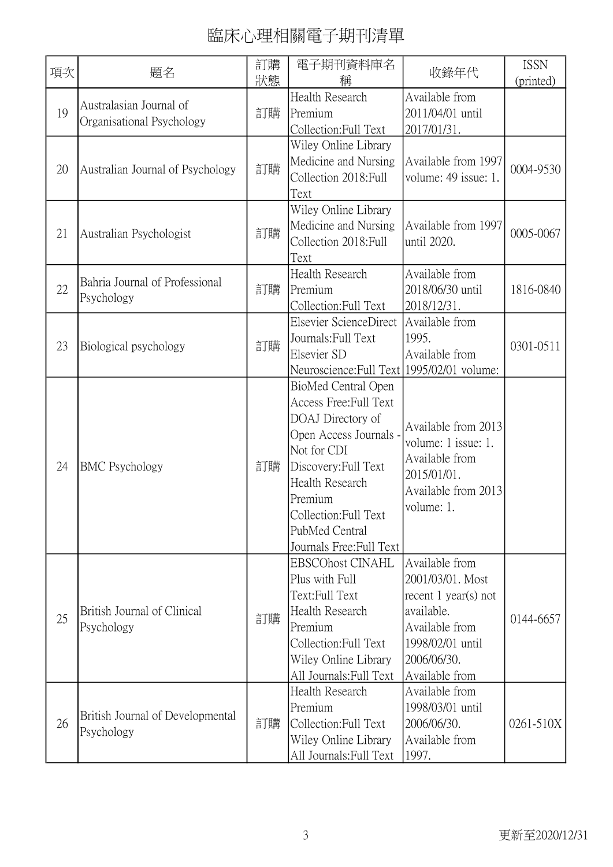| 項次 | 題名                                                   | 訂購<br>狀態 | 電子期刊資料庫名<br>稱                                                                                                                                                                                                                            | 收錄年代                                                                                                                                              | <b>ISSN</b><br>(printed) |
|----|------------------------------------------------------|----------|------------------------------------------------------------------------------------------------------------------------------------------------------------------------------------------------------------------------------------------|---------------------------------------------------------------------------------------------------------------------------------------------------|--------------------------|
| 19 | Australasian Journal of<br>Organisational Psychology | 訂購       | Health Research<br>Premium<br>Collection: Full Text                                                                                                                                                                                      | Available from<br>2011/04/01 until<br>2017/01/31.                                                                                                 |                          |
| 20 | Australian Journal of Psychology                     | 訂購       | Wiley Online Library<br>Medicine and Nursing<br>Collection 2018: Full<br>Text                                                                                                                                                            | Available from 1997<br>volume: 49 issue: 1.                                                                                                       | 0004-9530                |
| 21 | Australian Psychologist                              | 訂購       | Wiley Online Library<br>Medicine and Nursing<br>Collection 2018: Full<br>Text                                                                                                                                                            | Available from 1997<br>until 2020.                                                                                                                | 0005-0067                |
| 22 | Bahria Journal of Professional<br>Psychology         | 訂購       | <b>Health Research</b><br>Premium<br>Collection: Full Text                                                                                                                                                                               | Available from<br>2018/06/30 until<br>2018/12/31.                                                                                                 | 1816-0840                |
| 23 | Biological psychology                                | 訂購       | Elsevier ScienceDirect<br>Journals: Full Text<br>Elsevier SD<br>Neuroscience: Full Text   1995/02/01 volume:                                                                                                                             | Available from<br>1995.<br>Available from                                                                                                         | 0301-0511                |
| 24 | <b>BMC</b> Psychology                                | 訂購       | BioMed Central Open<br>Access Free: Full Text<br>DOAJ Directory of<br>Open Access Journals -<br>Not for CDI<br>Discovery: Full Text<br>Health Research<br>Premium<br>Collection: Full Text<br>PubMed Central<br>Journals Free: Full Text | Available from 2013<br>volume: 1 issue: 1.<br>Available from<br>2015/01/01.<br>Available from 2013<br>volume: 1.                                  |                          |
| 25 | British Journal of Clinical<br>Psychology            | 訂購       | <b>EBSCOhost CINAHL</b><br>Plus with Full<br>Text:Full Text<br>Health Research<br>Premium<br>Collection: Full Text<br>Wiley Online Library<br>All Journals: Full Text                                                                    | Available from<br>2001/03/01. Most<br>recent $1$ year(s) not<br>available.<br>Available from<br>1998/02/01 until<br>2006/06/30.<br>Available from | 0144-6657                |
| 26 | British Journal of Developmental<br>Psychology       | 訂購       | Health Research<br>Premium<br>Collection: Full Text<br>Wiley Online Library<br>All Journals: Full Text                                                                                                                                   | Available from<br>1998/03/01 until<br>2006/06/30.<br>Available from<br>1997.                                                                      | 0261-510X                |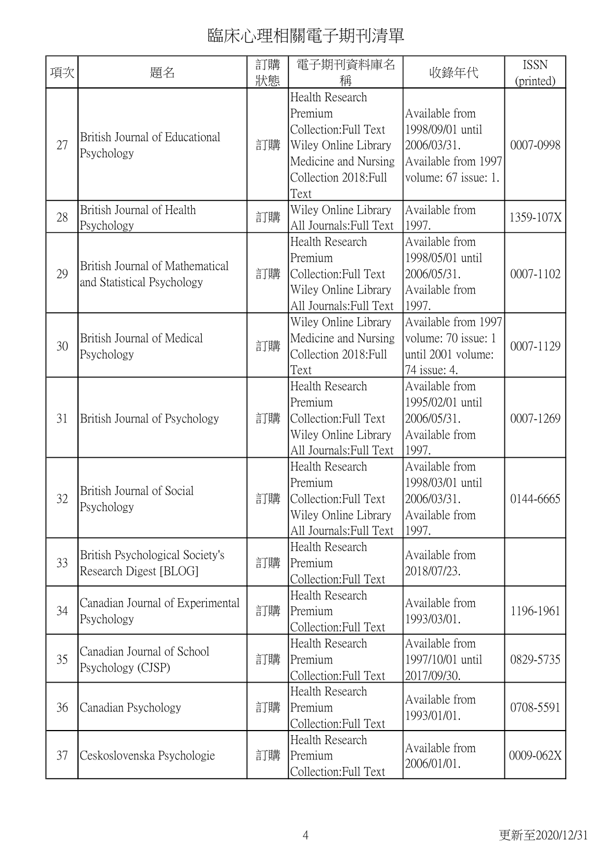| 項次 | 題名                                                            | 訂購<br>狀態 | 電子期刊資料庫名<br>稱                                                                                                                        | 收錄年代                                                                                             | <b>ISSN</b><br>(printed) |
|----|---------------------------------------------------------------|----------|--------------------------------------------------------------------------------------------------------------------------------------|--------------------------------------------------------------------------------------------------|--------------------------|
| 27 | British Journal of Educational<br>Psychology                  | 訂購       | Health Research<br>Premium<br>Collection: Full Text<br>Wiley Online Library<br>Medicine and Nursing<br>Collection 2018: Full<br>Text | Available from<br>1998/09/01 until<br>2006/03/31.<br>Available from 1997<br>volume: 67 issue: 1. | 0007-0998                |
| 28 | British Journal of Health<br>Psychology                       | 訂購       | Wiley Online Library<br>All Journals: Full Text                                                                                      | Available from<br>1997.                                                                          | 1359-107X                |
| 29 | British Journal of Mathematical<br>and Statistical Psychology | 訂購       | Health Research<br>Premium<br>Collection: Full Text<br>Wiley Online Library<br>All Journals: Full Text                               | Available from<br>1998/05/01 until<br>2006/05/31.<br>Available from<br>1997.                     | 0007-1102                |
| 30 | British Journal of Medical<br>Psychology                      | 訂購       | Wiley Online Library<br>Medicine and Nursing<br>Collection 2018: Full<br>Text                                                        | Available from 1997<br>volume: 70 issue: 1<br>until 2001 volume:<br>74 issue: 4.                 | 0007-1129                |
| 31 | British Journal of Psychology                                 | 訂購       | Health Research<br>Premium<br>Collection: Full Text<br>Wiley Online Library<br>All Journals: Full Text                               | Available from<br>1995/02/01 until<br>2006/05/31.<br>Available from<br>1997.                     | 0007-1269                |
| 32 | British Journal of Social<br>Psychology                       | 訂購       | Health Research<br>Premium<br>Collection: Full Text<br>Wiley Online Library<br>All Journals: Full Text                               | Available from<br>1998/03/01 until<br>2006/03/31.<br>Available from<br>1997.                     | 0144-6665                |
| 33 | British Psychological Society's<br>Research Digest [BLOG]     | 訂購       | Health Research<br>Premium<br>Collection:Full Text                                                                                   | Available from<br>2018/07/23.                                                                    |                          |
| 34 | Canadian Journal of Experimental<br>Psychology                | 訂購       | Health Research<br>Premium<br>Collection: Full Text                                                                                  | Available from<br>1993/03/01.                                                                    | 1196-1961                |
| 35 | Canadian Journal of School<br>Psychology (CJSP)               | 訂購       | Health Research<br>Premium<br>Collection: Full Text                                                                                  | Available from<br>1997/10/01 until<br>2017/09/30.                                                | 0829-5735                |
| 36 | Canadian Psychology                                           | 訂購       | Health Research<br>Premium<br>Collection: Full Text                                                                                  | Available from<br>1993/01/01.                                                                    | 0708-5591                |
| 37 | Ceskoslovenska Psychologie                                    | 訂購       | Health Research<br>Premium<br>Collection:Full Text                                                                                   | Available from<br>2006/01/01.                                                                    | 0009-062X                |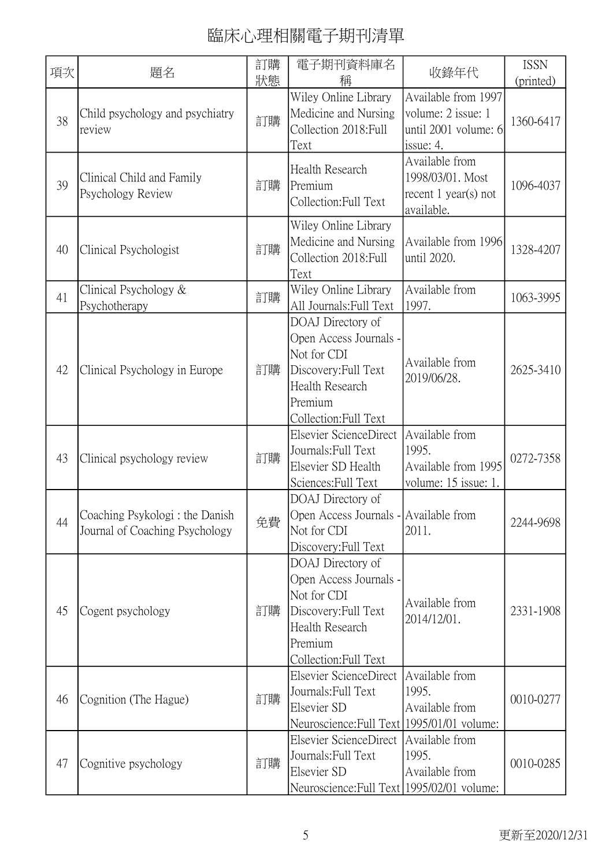| 項次 | 題名                                                                | 訂購<br>狀態 | 電子期刊資料庫名<br>稱                                                                                                                             | 收錄年代                                                                           | <b>ISSN</b><br>(printed) |
|----|-------------------------------------------------------------------|----------|-------------------------------------------------------------------------------------------------------------------------------------------|--------------------------------------------------------------------------------|--------------------------|
| 38 | Child psychology and psychiatry<br>review                         | 訂購       | Wiley Online Library<br>Medicine and Nursing<br>Collection 2018: Full<br>Text                                                             | Available from 1997<br>volume: 2 issue: 1<br>until 2001 volume: 6<br>issue: 4. | 1360-6417                |
| 39 | Clinical Child and Family<br>Psychology Review                    | 訂購       | Health Research<br>Premium<br>Collection: Full Text                                                                                       | Available from<br>1998/03/01. Most<br>recent $1$ year(s) not<br>available.     | 1096-4037                |
| 40 | Clinical Psychologist                                             | 訂購       | Wiley Online Library<br>Medicine and Nursing<br>Collection 2018: Full<br>Text                                                             | Available from 1996<br>until 2020.                                             | 1328-4207                |
| 41 | Clinical Psychology &<br>Psychotherapy                            | 訂購       | Wiley Online Library<br>All Journals: Full Text                                                                                           | Available from<br>1997.                                                        | 1063-3995                |
| 42 | Clinical Psychology in Europe                                     | 訂購       | DOAJ Directory of<br>Open Access Journals -<br>Not for CDI<br>Discovery: Full Text<br>Health Research<br>Premium<br>Collection: Full Text | Available from<br>2019/06/28.                                                  | 2625-3410                |
| 43 | Clinical psychology review                                        | 訂購       | Elsevier ScienceDirect<br>Journals: Full Text<br>Elsevier SD Health<br>Sciences: Full Text                                                | Available from<br>1995.<br>Available from 1995<br>volume: 15 issue: 1.         | 0272-7358                |
| 44 | Coaching Psykologi : the Danish<br>Journal of Coaching Psychology | 免費       | DOAJ Directory of<br>Open Access Journals - Available from<br>Not for CDI<br>Discovery: Full Text                                         | 2011.                                                                          | 2244-9698                |
| 45 | Cogent psychology                                                 | 訂購       | DOAJ Directory of<br>Open Access Journals -<br>Not for CDI<br>Discovery: Full Text<br>Health Research<br>Premium<br>Collection: Full Text | Available from<br>2014/12/01.                                                  | 2331-1908                |
| 46 | Cognition (The Hague)                                             | 訂購       | Elsevier ScienceDirect<br>Journals: Full Text<br>Elsevier SD<br>Neuroscience: Full Text   1995/01/01 volume:                              | Available from<br>1995.<br>Available from                                      | 0010-0277                |
| 47 | Cognitive psychology                                              | 訂購       | Elsevier ScienceDirect<br>Journals: Full Text<br>Elsevier SD<br>Neuroscience: Full Text   1995/02/01 volume:                              | Available from<br>1995.<br>Available from                                      | 0010-0285                |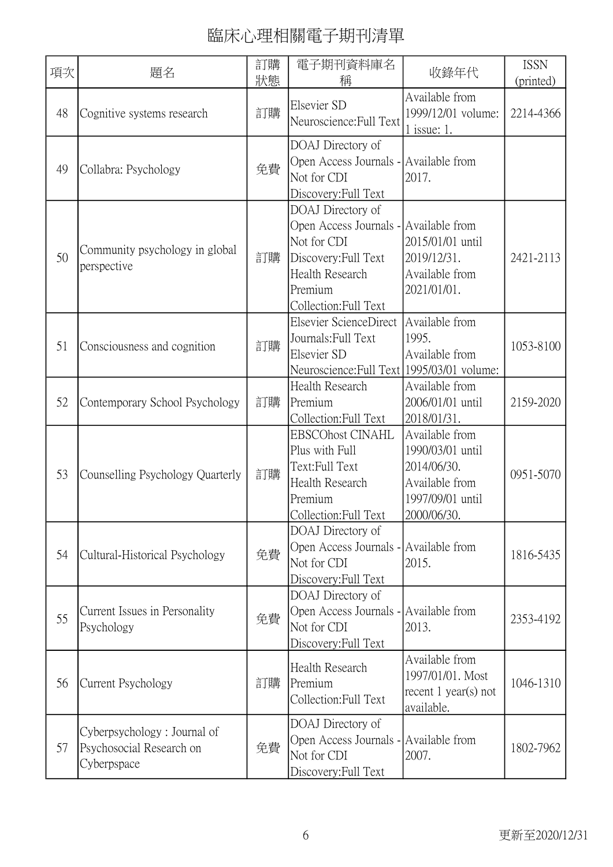| 項次 | 題名                                                                     | 訂購<br>狀態 | 電子期刊資料庫名<br>稱                                                                                                                                            | 收錄年代                                                                                                   | <b>ISSN</b><br>(printed) |
|----|------------------------------------------------------------------------|----------|----------------------------------------------------------------------------------------------------------------------------------------------------------|--------------------------------------------------------------------------------------------------------|--------------------------|
| 48 | Cognitive systems research                                             | 訂購       | <b>Elsevier SD</b><br>Neuroscience: Full Text                                                                                                            | Available from<br>1999/12/01 volume:<br>$1$ issue: 1.                                                  | 2214-4366                |
| 49 | Collabra: Psychology                                                   | 免費       | DOAJ Directory of<br>Open Access Journals - Available from<br>Not for CDI<br>Discovery: Full Text                                                        | 2017.                                                                                                  |                          |
| 50 | Community psychology in global<br>perspective                          | 訂購       | DOAJ Directory of<br>Open Access Journals - Available from<br>Not for CDI<br>Discovery: Full Text<br>Health Research<br>Premium<br>Collection: Full Text | 2015/01/01 until<br>2019/12/31.<br>Available from<br>2021/01/01.                                       | 2421-2113                |
| 51 | Consciousness and cognition                                            | 訂購       | Elsevier ScienceDirect<br>Journals: Full Text<br>Elsevier SD<br>Neuroscience: Full Text   1995/03/01 volume:                                             | Available from<br>1995.<br>Available from                                                              | 1053-8100                |
| 52 | Contemporary School Psychology                                         | 訂購       | Health Research<br>Premium<br>Collection: Full Text                                                                                                      | Available from<br>2006/01/01 until<br>2018/01/31.                                                      | 2159-2020                |
| 53 | Counselling Psychology Quarterly                                       | 訂購       | <b>EBSCOhost CINAHL</b><br>Plus with Full<br>Text:Full Text<br><b>Health Research</b><br>Premium<br>Collection: Full Text                                | Available from<br>1990/03/01 until<br>2014/06/30.<br>Available from<br>1997/09/01 until<br>2000/06/30. | 0951-5070                |
| 54 | Cultural-Historical Psychology                                         | 免費       | DOAJ Directory of<br>Open Access Journals - Available from<br>Not for CDI<br>Discovery: Full Text                                                        | 2015.                                                                                                  | 1816-5435                |
| 55 | Current Issues in Personality<br>Psychology                            | 免費       | DOAJ Directory of<br>Open Access Journals - Available from<br>Not for CDI<br>Discovery: Full Text                                                        | 2013.                                                                                                  | 2353-4192                |
| 56 | Current Psychology                                                     | 訂購       | Health Research<br>Premium<br>Collection: Full Text                                                                                                      | Available from<br>1997/01/01. Most<br>recent $1$ year(s) not<br>available.                             | 1046-1310                |
| 57 | Cyberpsychology: Journal of<br>Psychosocial Research on<br>Cyberpspace | 免費       | DOAJ Directory of<br>Open Access Journals - Available from<br>Not for CDI<br>Discovery: Full Text                                                        | 2007.                                                                                                  | 1802-7962                |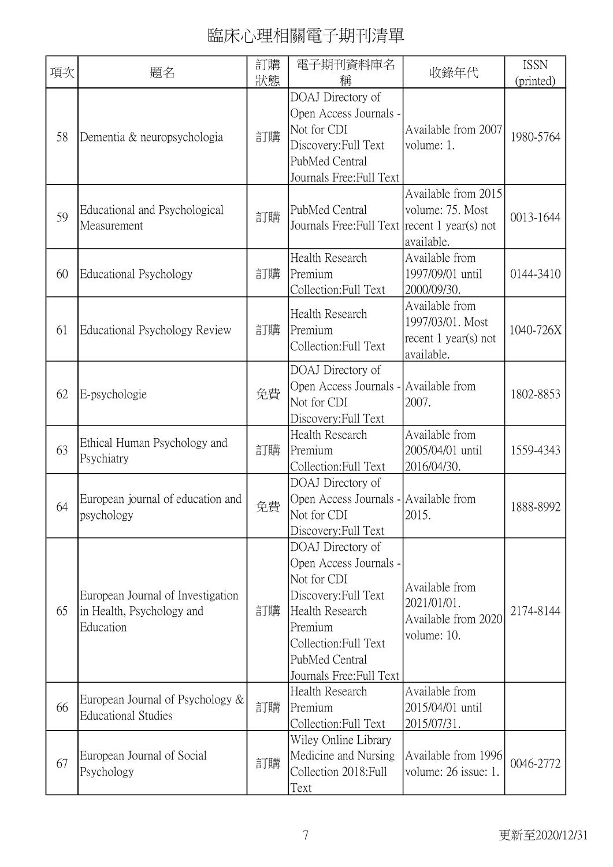| 項次 | 題名                                                                          | 訂購<br>狀態 | 電子期刊資料庫名<br>稱                                                                                                                                                                           | 收錄年代                                                                     | <b>ISSN</b><br>(printed) |
|----|-----------------------------------------------------------------------------|----------|-----------------------------------------------------------------------------------------------------------------------------------------------------------------------------------------|--------------------------------------------------------------------------|--------------------------|
| 58 | Dementia & neuropsychologia                                                 | 訂購       | DOAJ Directory of<br>Open Access Journals -<br>Not for CDI<br>Discovery: Full Text<br>PubMed Central<br>Journals Free: Full Text                                                        | Available from 2007<br>volume: 1.                                        | 1980-5764                |
| 59 | Educational and Psychological<br>Measurement                                | 訂購       | PubMed Central<br>Journals Free: Full Text recent 1 year(s) not                                                                                                                         | Available from 2015<br>volume: 75. Most<br>available.                    | 0013-1644                |
| 60 | <b>Educational Psychology</b>                                               | 訂購       | Health Research<br>Premium<br>Collection: Full Text                                                                                                                                     | Available from<br>1997/09/01 until<br>2000/09/30.                        | 0144-3410                |
| 61 | Educational Psychology Review                                               | 訂購       | Health Research<br>Premium<br>Collection: Full Text                                                                                                                                     | Available from<br>1997/03/01. Most<br>recent 1 year(s) not<br>available. | 1040-726X                |
| 62 | E-psychologie                                                               | 免費       | DOAJ Directory of<br>Open Access Journals - Available from<br>Not for CDI<br>Discovery: Full Text                                                                                       | 2007.                                                                    | 1802-8853                |
| 63 | Ethical Human Psychology and<br>Psychiatry                                  | 訂購       | Health Research<br>Premium<br>Collection: Full Text                                                                                                                                     | Available from<br>2005/04/01 until<br>2016/04/30.                        | 1559-4343                |
| 64 | European journal of education and<br>psychology                             | 免費       | DOAJ Directory of<br>Open Access Journals - Available from<br>Not for CDI<br>Discovery: Full Text                                                                                       | 2015.                                                                    | 1888-8992                |
| 65 | European Journal of Investigation<br>in Health, Psychology and<br>Education | 訂購       | DOAJ Directory of<br>Open Access Journals -<br>Not for CDI<br>Discovery: Full Text<br>Health Research<br>Premium<br>Collection: Full Text<br>PubMed Central<br>Journals Free: Full Text | Available from<br>2021/01/01.<br>Available from 2020<br>volume: 10.      | 2174-8144                |
| 66 | European Journal of Psychology $\&$<br><b>Educational Studies</b>           | 訂購       | Health Research<br>Premium<br>Collection: Full Text                                                                                                                                     | Available from<br>2015/04/01 until<br>2015/07/31.                        |                          |
| 67 | European Journal of Social<br>Psychology                                    | 訂購       | Wiley Online Library<br>Medicine and Nursing<br>Collection 2018: Full<br>Text                                                                                                           | Available from 1996<br>volume: 26 issue: 1.                              | 0046-2772                |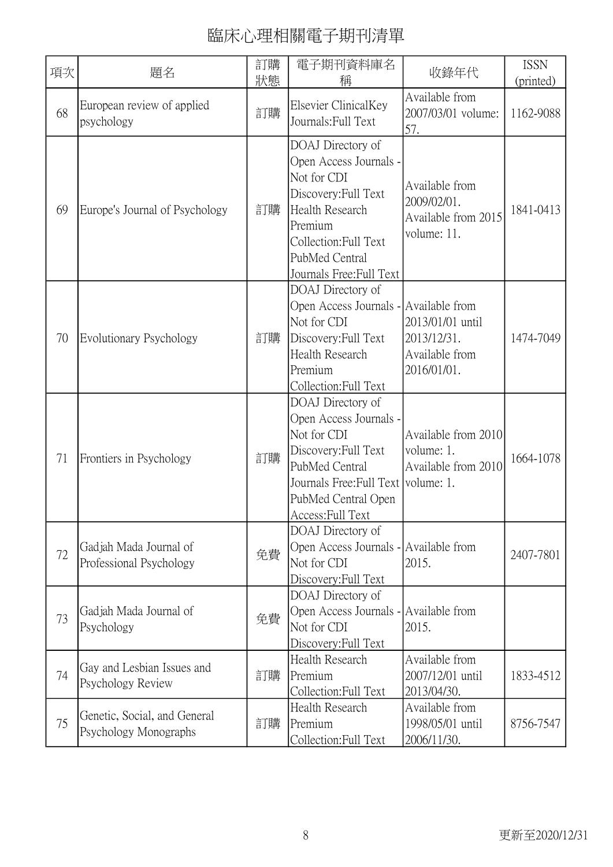| 項次 | 題名                                                    | 訂購<br>狀態 | 電子期刊資料庫名<br>稱                                                                                                                                                                                  | 收錄年代                                                                | <b>ISSN</b><br>(printed) |
|----|-------------------------------------------------------|----------|------------------------------------------------------------------------------------------------------------------------------------------------------------------------------------------------|---------------------------------------------------------------------|--------------------------|
| 68 | European review of applied<br>psychology              | 訂購       | Elsevier ClinicalKey<br>Journals: Full Text                                                                                                                                                    | Available from<br>2007/03/01 volume:<br>57.                         | 1162-9088                |
| 69 | Europe's Journal of Psychology                        | 訂購       | DOAJ Directory of<br>Open Access Journals -<br>Not for CDI<br>Discovery: Full Text<br><b>Health Research</b><br>Premium<br>Collection: Full Text<br>PubMed Central<br>Journals Free: Full Text | Available from<br>2009/02/01.<br>Available from 2015<br>volume: 11. | 1841-0413                |
| 70 | Evolutionary Psychology                               | 訂購       | DOAJ Directory of<br>Open Access Journals - Available from<br>Not for CDI<br>Discovery: Full Text<br>Health Research<br>Premium<br>Collection:Full Text                                        | 2013/01/01 until<br>2013/12/31.<br>Available from<br>2016/01/01.    | 1474-7049                |
| 71 | Frontiers in Psychology                               | 訂購       | DOAJ Directory of<br>Open Access Journals -<br>Not for CDI<br>Discovery: Full Text<br>PubMed Central<br>Journals Free: Full Text   volume: 1.<br>PubMed Central Open<br>Access: Full Text      | Available from 2010<br>volume: 1.<br>Available from 2010            | 1664-1078                |
| 72 | Gadjah Mada Journal of<br>Professional Psychology     | 免費       | DOAJ Directory of<br>Open Access Journals - Available from<br>Not for CDI<br>Discovery: Full Text                                                                                              | 2015.                                                               | 2407-7801                |
| 73 | Gadjah Mada Journal of<br>Psychology                  | 免費       | DOAJ Directory of<br>Open Access Journals - Available from<br>Not for CDI<br>Discovery: Full Text                                                                                              | 2015.                                                               |                          |
| 74 | Gay and Lesbian Issues and<br>Psychology Review       | 訂購       | <b>Health Research</b><br>Premium<br>Collection: Full Text                                                                                                                                     | Available from<br>2007/12/01 until<br>2013/04/30.                   | 1833-4512                |
| 75 | Genetic, Social, and General<br>Psychology Monographs | 訂購       | Health Research<br>Premium<br>Collection: Full Text                                                                                                                                            | Available from<br>1998/05/01 until<br>2006/11/30.                   | 8756-7547                |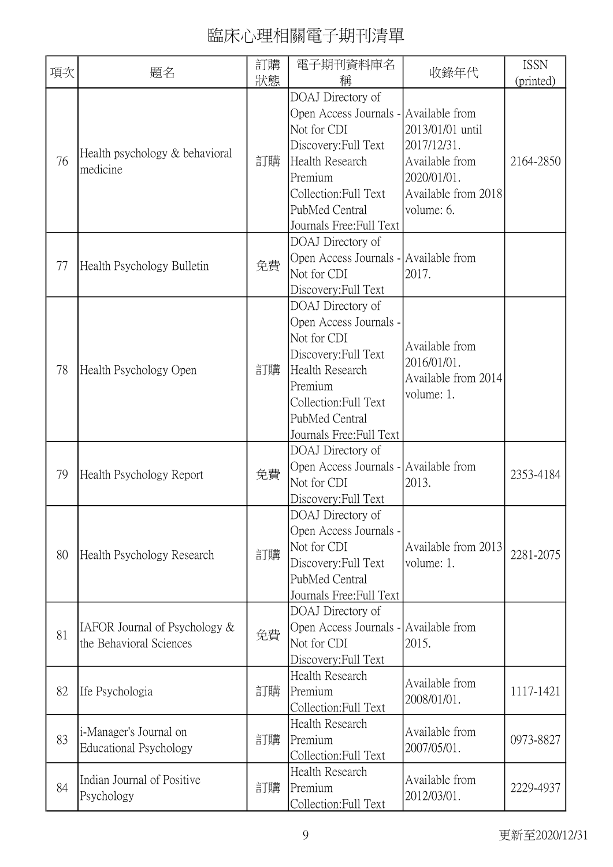| 項次 | 題名                                                       | 訂購 | 電子期刊資料庫名                                                                                                                                                                                | 收錄年代                                                                                                  | <b>ISSN</b> |
|----|----------------------------------------------------------|----|-----------------------------------------------------------------------------------------------------------------------------------------------------------------------------------------|-------------------------------------------------------------------------------------------------------|-------------|
|    |                                                          | 狀態 | 稱<br>DOAJ Directory of                                                                                                                                                                  |                                                                                                       | (printed)   |
| 76 | Health psychology & behavioral<br>medicine               | 訂購 | Open Access Journals - Available from<br>Not for CDI<br>Discovery: Full Text<br><b>Health Research</b><br>Premium<br>Collection:Full Text<br>PubMed Central<br>Journals Free: Full Text | 2013/01/01 until<br>2017/12/31.<br>Available from<br>2020/01/01.<br>Available from 2018<br>volume: 6. | 2164-2850   |
| 77 | Health Psychology Bulletin                               | 免費 | DOAJ Directory of<br>Open Access Journals - Available from<br>Not for CDI<br>Discovery: Full Text                                                                                       | 2017.                                                                                                 |             |
| 78 | Health Psychology Open                                   | 訂購 | DOAJ Directory of<br>Open Access Journals -<br>Not for CDI<br>Discovery: Full Text<br>Health Research<br>Premium<br>Collection: Full Text<br>PubMed Central<br>Journals Free: Full Text | Available from<br>2016/01/01.<br>Available from 2014<br>volume: 1.                                    |             |
| 79 | Health Psychology Report                                 | 免費 | DOAJ Directory of<br>Open Access Journals - Available from<br>Not for CDI<br>Discovery: Full Text                                                                                       | 2013.                                                                                                 | 2353-4184   |
| 80 | Health Psychology Research                               | 訂購 | DOAJ Directory of<br>Open Access Journals -<br>Not for CDI<br>Discovery: Full Text<br>PubMed Central<br>Journals Free: Full Text                                                        | Available from 2013<br>volume: 1.                                                                     | 2281-2075   |
| 81 | IAFOR Journal of Psychology &<br>the Behavioral Sciences | 免費 | DOAJ Directory of<br>Open Access Journals - Available from<br>Not for CDI<br>Discovery: Full Text                                                                                       | 2015.                                                                                                 |             |
| 82 | Ife Psychologia                                          | 訂購 | Health Research<br>Premium<br>Collection:Full Text                                                                                                                                      | Available from<br>2008/01/01.                                                                         | 1117-1421   |
| 83 | i-Manager's Journal on<br><b>Educational Psychology</b>  | 訂購 | <b>Health Research</b><br>Premium<br>Collection: Full Text                                                                                                                              | Available from<br>2007/05/01.                                                                         | 0973-8827   |
| 84 | Indian Journal of Positive<br>Psychology                 | 訂購 | Health Research<br>Premium<br>Collection:Full Text                                                                                                                                      | Available from<br>2012/03/01.                                                                         | 2229-4937   |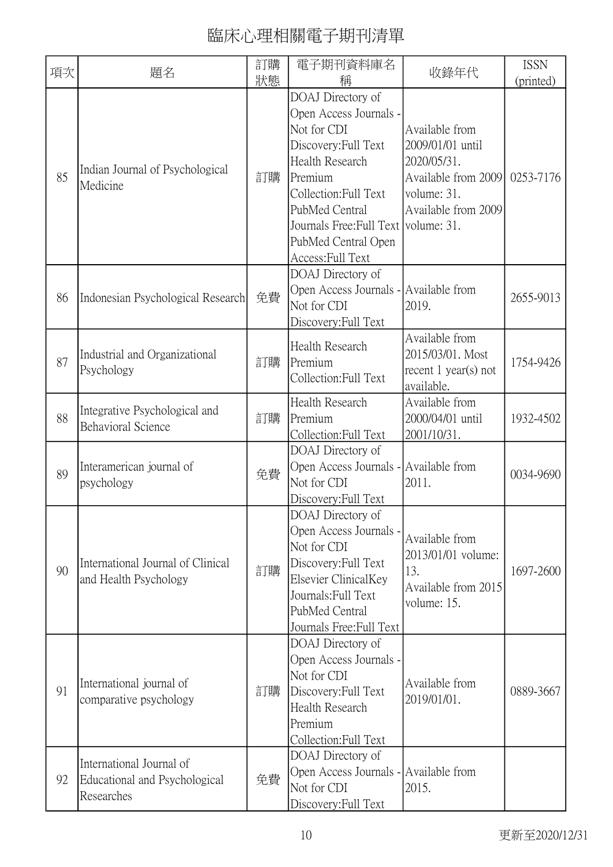| 項次 | 題名                                                                      | 訂購<br>狀態 | 電子期刊資料庫名<br>稱                                                                                                                                                                                                                                     | 收錄年代                                                                                                           | <b>ISSN</b><br>(printed) |
|----|-------------------------------------------------------------------------|----------|---------------------------------------------------------------------------------------------------------------------------------------------------------------------------------------------------------------------------------------------------|----------------------------------------------------------------------------------------------------------------|--------------------------|
| 85 | Indian Journal of Psychological<br>Medicine                             | 訂購       | DOAJ Directory of<br>Open Access Journals -<br>Not for CDI<br>Discovery: Full Text<br>Health Research<br>Premium<br>Collection: Full Text<br>PubMed Central<br>Journals Free: Full Text   volume: 31.<br>PubMed Central Open<br>Access: Full Text | Available from<br>2009/01/01 until<br>2020/05/31.<br>Available from 2009<br>volume: 31.<br>Available from 2009 | 0253-7176                |
| 86 | Indonesian Psychological Research                                       | 免費       | DOAJ Directory of<br>Open Access Journals - Available from<br>Not for CDI<br>Discovery: Full Text                                                                                                                                                 | 2019.                                                                                                          | 2655-9013                |
| 87 | Industrial and Organizational<br>Psychology                             | 訂購       | Health Research<br>Premium<br>Collection:Full Text                                                                                                                                                                                                | Available from<br>2015/03/01. Most<br>recent $1$ year(s) not<br>available.                                     | 1754-9426                |
| 88 | Integrative Psychological and<br><b>Behavioral Science</b>              | 訂購       | <b>Health Research</b><br>Premium<br>Collection: Full Text                                                                                                                                                                                        | Available from<br>2000/04/01 until<br>2001/10/31.                                                              | 1932-4502                |
| 89 | Interamerican journal of<br>psychology                                  | 免費       | DOAJ Directory of<br>Open Access Journals - Available from<br>Not for CDI<br>Discovery: Full Text                                                                                                                                                 | 2011.                                                                                                          | 0034-9690                |
| 90 | International Journal of Clinical<br>and Health Psychology              | 訂購       | DOAJ Directory of<br>Open Access Journals -<br>Not for CDI<br>Discovery: Full Text<br>Elsevier ClinicalKey<br>Journals: Full Text<br>PubMed Central<br>Journals Free: Full Text                                                                   | Available from<br>2013/01/01 volume:<br>13.<br>Available from 2015<br>volume: 15.                              | 1697-2600                |
| 91 | International journal of<br>comparative psychology                      | 訂購       | DOAJ Directory of<br>Open Access Journals -<br>Not for CDI<br>Discovery: Full Text<br>Health Research<br>Premium<br>Collection: Full Text                                                                                                         | Available from<br>2019/01/01.                                                                                  | 0889-3667                |
| 92 | International Journal of<br>Educational and Psychological<br>Researches | 免費       | DOAJ Directory of<br>Open Access Journals - Available from<br>Not for CDI<br>Discovery: Full Text                                                                                                                                                 | 2015.                                                                                                          |                          |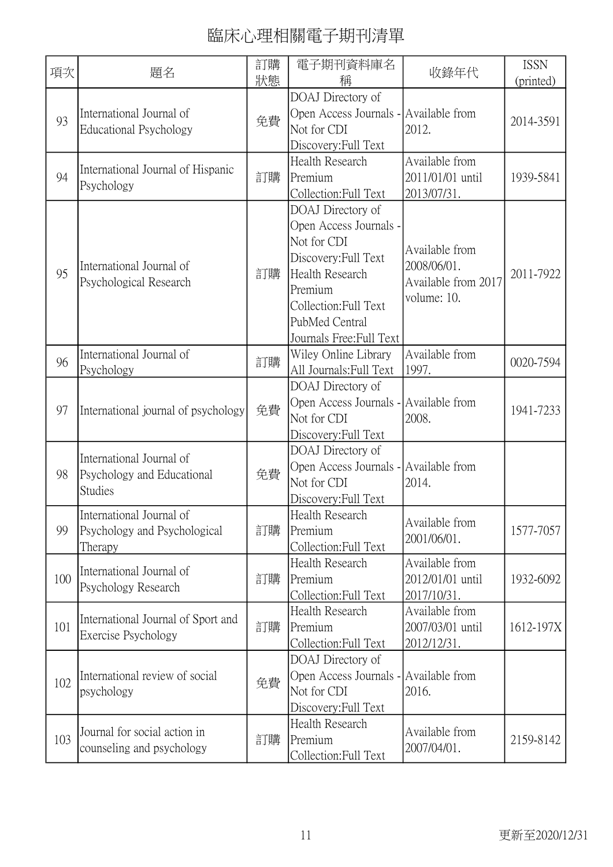| 項次  | 題名                                                                       | 訂購<br>狀態 | 電子期刊資料庫名<br>稱                                                                                                                                                                           | 收錄年代                                                                | <b>ISSN</b><br>(printed) |
|-----|--------------------------------------------------------------------------|----------|-----------------------------------------------------------------------------------------------------------------------------------------------------------------------------------------|---------------------------------------------------------------------|--------------------------|
| 93  | International Journal of<br><b>Educational Psychology</b>                | 免費       | DOAJ Directory of<br>Open Access Journals - Available from<br>Not for CDI<br>Discovery: Full Text                                                                                       | 2012.                                                               | 2014-3591                |
| 94  | International Journal of Hispanic<br>Psychology                          | 訂購       | Health Research<br>Premium<br>Collection: Full Text                                                                                                                                     | Available from<br>2011/01/01 until<br>2013/07/31.                   | 1939-5841                |
| 95  | International Journal of<br>Psychological Research                       | 訂購       | DOAJ Directory of<br>Open Access Journals -<br>Not for CDI<br>Discovery: Full Text<br>Health Research<br>Premium<br>Collection: Full Text<br>PubMed Central<br>Journals Free: Full Text | Available from<br>2008/06/01.<br>Available from 2017<br>volume: 10. | 2011-7922                |
| 96  | International Journal of<br>Psychology                                   | 訂購       | Wiley Online Library<br>All Journals: Full Text                                                                                                                                         | Available from<br>1997.                                             | 0020-7594                |
| 97  | International journal of psychology                                      | 免費       | DOAJ Directory of<br>Open Access Journals - Available from<br>Not for CDI<br>Discovery: Full Text                                                                                       | 2008.                                                               | 1941-7233                |
| 98  | International Journal of<br>Psychology and Educational<br><b>Studies</b> | 免費       | DOAJ Directory of<br>Open Access Journals - Available from<br>Not for CDI<br>Discovery: Full Text                                                                                       | 2014.                                                               |                          |
| 99  | International Journal of<br>Psychology and Psychological<br>Therapy      | 訂購       | Health Research<br>Premium<br>Collection: Full Text                                                                                                                                     | Available from<br>2001/06/01.                                       | 1577-7057                |
| 100 | International Journal of<br>Psychology Research                          | 訂購       | Health Research<br>Premium<br>Collection: Full Text                                                                                                                                     | Available from<br>2012/01/01 until<br>2017/10/31.                   | 1932-6092                |
| 101 | International Journal of Sport and<br>Exercise Psychology                | 訂購       | <b>Health Research</b><br>Premium<br>Collection: Full Text                                                                                                                              | Available from<br>2007/03/01 until<br>2012/12/31.                   | 1612-197X                |
| 102 | International review of social<br>psychology                             | 免費       | DOAJ Directory of<br>Open Access Journals - Available from<br>Not for CDI<br>Discovery: Full Text                                                                                       | 2016.                                                               |                          |
| 103 | Journal for social action in<br>counseling and psychology                | 訂購       | Health Research<br>Premium<br>Collection: Full Text                                                                                                                                     | Available from<br>2007/04/01.                                       | 2159-8142                |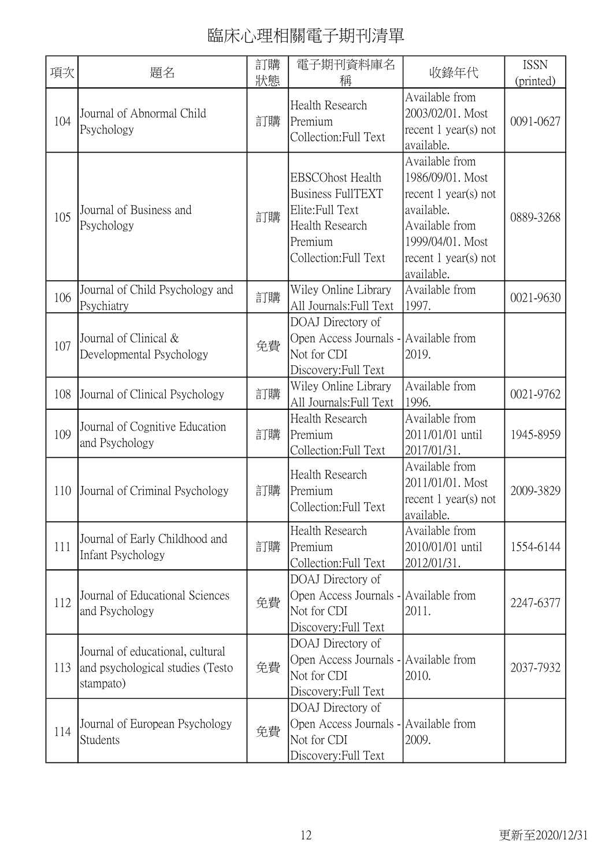| 項次  | 題名                                                                                | 訂購<br>狀態 | 電子期刊資料庫名<br>稱                                                                                                                  | 收錄年代                                                                                                                                                     | <b>ISSN</b><br>(printed) |
|-----|-----------------------------------------------------------------------------------|----------|--------------------------------------------------------------------------------------------------------------------------------|----------------------------------------------------------------------------------------------------------------------------------------------------------|--------------------------|
| 104 | Journal of Abnormal Child<br>Psychology                                           | 訂購       | <b>Health Research</b><br>Premium<br>Collection: Full Text                                                                     | Available from<br>2003/02/01. Most<br>recent $1$ year(s) not<br>available.                                                                               | 0091-0627                |
| 105 | Journal of Business and<br>Psychology                                             | 訂購       | <b>EBSCOhost Health</b><br><b>Business FullTEXT</b><br>Elite: Full Text<br>Health Research<br>Premium<br>Collection: Full Text | Available from<br>1986/09/01. Most<br>recent $1$ year(s) not<br>available.<br>Available from<br>1999/04/01. Most<br>recent $1$ year(s) not<br>available. | 0889-3268                |
| 106 | Journal of Child Psychology and<br>Psychiatry                                     | 訂購       | Wiley Online Library<br>All Journals: Full Text                                                                                | Available from<br>1997.                                                                                                                                  | 0021-9630                |
| 107 | Journal of Clinical &<br>Developmental Psychology                                 | 免費       | DOAJ Directory of<br>Open Access Journals - Available from<br>Not for CDI<br>Discovery: Full Text                              | 2019.                                                                                                                                                    |                          |
| 108 | Journal of Clinical Psychology                                                    | 訂購       | Wiley Online Library<br>All Journals: Full Text                                                                                | Available from<br>1996.                                                                                                                                  | 0021-9762                |
| 109 | Journal of Cognitive Education<br>and Psychology                                  | 訂購       | Health Research<br>Premium<br>Collection: Full Text                                                                            | Available from<br>2011/01/01 until<br>2017/01/31.                                                                                                        | 1945-8959                |
| 110 | Journal of Criminal Psychology                                                    | 訂購       | <b>Health Research</b><br>Premium<br>Collection: Full Text                                                                     | Available from<br>2011/01/01. Most<br>recent $1$ year(s) not<br>available.                                                                               | 2009-3829                |
| 111 | Journal of Early Childhood and<br><b>Infant Psychology</b>                        | 訂購       | Health Research<br>Premium<br>Collection: Full Text                                                                            | Available from<br>2010/01/01 until<br>2012/01/31.                                                                                                        | 1554-6144                |
| 112 | Journal of Educational Sciences<br>and Psychology                                 | 免費       | DOAJ Directory of<br>Open Access Journals - Available from<br>Not for CDI<br>Discovery: Full Text                              | 2011.                                                                                                                                                    | 2247-6377                |
| 113 | Journal of educational, cultural<br>and psychological studies (Testo<br>stampato) | 免費       | DOAJ Directory of<br>Open Access Journals - Available from<br>Not for CDI<br>Discovery: Full Text                              | 2010.                                                                                                                                                    | 2037-7932                |
| 114 | Journal of European Psychology<br>Students                                        | 免費       | DOAJ Directory of<br>Open Access Journals - Available from<br>Not for CDI<br>Discovery: Full Text                              | 2009.                                                                                                                                                    |                          |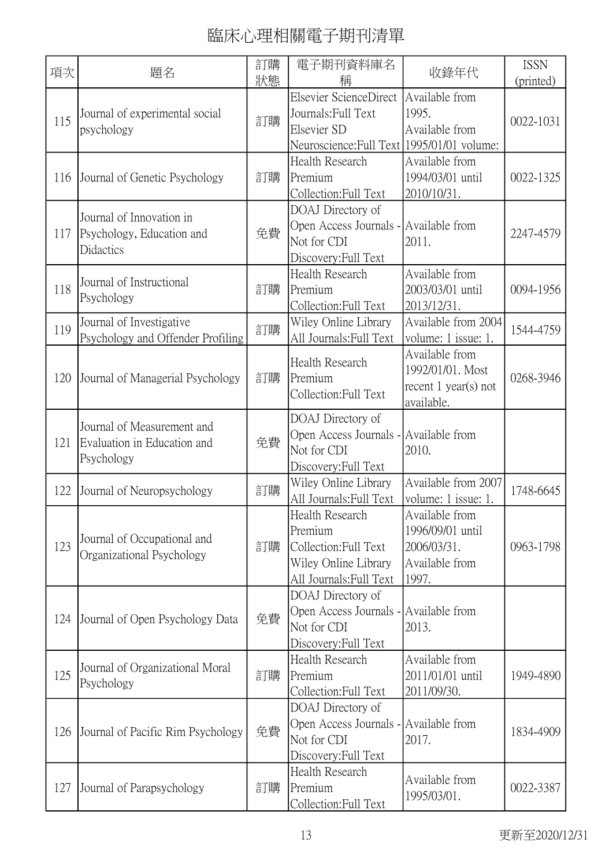| 項次  | 題名                                                                      | 訂購<br>狀態 | 電子期刊資料庫名<br>稱                                                                                                | 收錄年代                                                                         | <b>ISSN</b><br>(printed) |
|-----|-------------------------------------------------------------------------|----------|--------------------------------------------------------------------------------------------------------------|------------------------------------------------------------------------------|--------------------------|
| 115 | Journal of experimental social<br>psychology                            | 訂購       | Elsevier ScienceDirect<br>Journals: Full Text<br>Elsevier SD<br>Neuroscience: Full Text   1995/01/01 volume: | Available from<br>1995.<br>Available from                                    | 0022-1031                |
| 116 | Journal of Genetic Psychology                                           | 訂購       | Health Research<br>Premium<br>Collection:Full Text                                                           | Available from<br>1994/03/01 until<br>2010/10/31.                            | 0022-1325                |
| 117 | Journal of Innovation in<br>Psychology, Education and<br>Didactics      | 免費       | DOAJ Directory of<br>Open Access Journals - Available from<br>Not for CDI<br>Discovery: Full Text            | 2011.                                                                        | 2247-4579                |
| 118 | Journal of Instructional<br>Psychology                                  | 訂購       | Health Research<br>Premium<br>Collection: Full Text                                                          | Available from<br>2003/03/01 until<br>2013/12/31.                            | 0094-1956                |
| 119 | Journal of Investigative<br>Psychology and Offender Profiling           | 訂購       | Wiley Online Library<br>All Journals: Full Text                                                              | Available from 2004<br>volume: 1 issue: 1.                                   | 1544-4759                |
| 120 | Journal of Managerial Psychology                                        | 訂購       | Health Research<br>Premium<br>Collection: Full Text                                                          | Available from<br>1992/01/01. Most<br>recent $1$ year(s) not<br>available.   | 0268-3946                |
| 121 | Journal of Measurement and<br>Evaluation in Education and<br>Psychology | 免費       | DOAJ Directory of<br>Open Access Journals - Available from<br>Not for CDI<br>Discovery: Full Text            | 2010.                                                                        |                          |
| 122 | Journal of Neuropsychology                                              | 訂購       | Wiley Online Library<br>All Journals: Full Text                                                              | Available from 2007<br>volume: 1 issue: 1.                                   | 1748-6645                |
| 123 | Journal of Occupational and<br>Organizational Psychology                | 訂購       | Health Research<br>Premium<br>Collection: Full Text<br>Wiley Online Library<br>All Journals: Full Text       | Available from<br>1996/09/01 until<br>2006/03/31.<br>Available from<br>1997. | 0963-1798                |
| 124 | Journal of Open Psychology Data                                         | 免費       | DOAJ Directory of<br>Open Access Journals - Available from<br>Not for CDI<br>Discovery: Full Text            | 2013.                                                                        |                          |
| 125 | Journal of Organizational Moral<br>Psychology                           | 訂購       | Health Research<br>Premium<br>Collection: Full Text                                                          | Available from<br>2011/01/01 until<br>2011/09/30.                            | 1949-4890                |
| 126 | Journal of Pacific Rim Psychology                                       | 免費       | DOAJ Directory of<br>Open Access Journals - Available from<br>Not for CDI<br>Discovery: Full Text            | 2017.                                                                        | 1834-4909                |
| 127 | Journal of Parapsychology                                               | 訂購       | Health Research<br>Premium<br>Collection:Full Text                                                           | Available from<br>1995/03/01.                                                | 0022-3387                |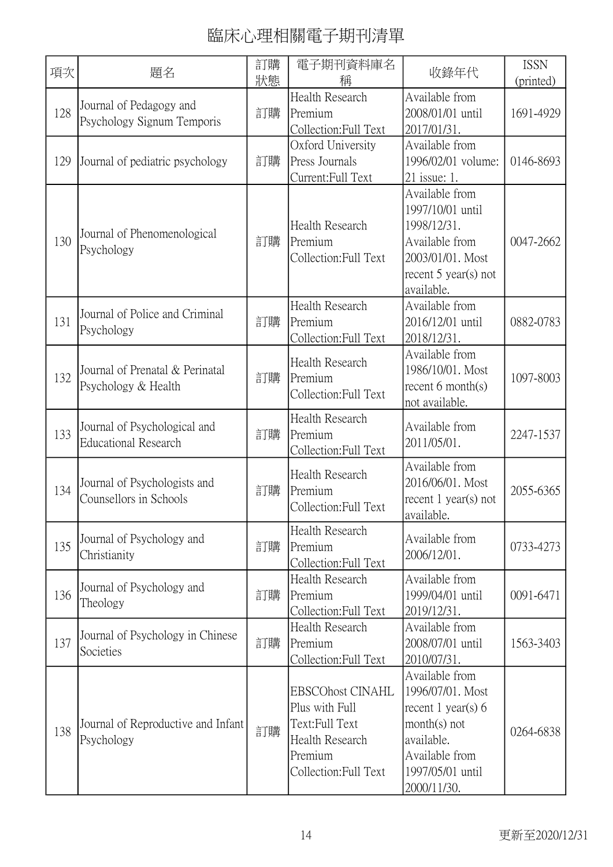| 項次  | 題名                                                          | 訂購<br>狀態 | 電子期刊資料庫名<br>稱                                                                                                      | 收錄年代                                                                                                                                            | <b>ISSN</b><br>(printed) |
|-----|-------------------------------------------------------------|----------|--------------------------------------------------------------------------------------------------------------------|-------------------------------------------------------------------------------------------------------------------------------------------------|--------------------------|
| 128 | Journal of Pedagogy and<br>Psychology Signum Temporis       | 訂購       | Health Research<br>Premium<br>Collection: Full Text                                                                | Available from<br>2008/01/01 until<br>2017/01/31.                                                                                               | 1691-4929                |
| 129 | Journal of pediatric psychology                             | 訂購       | Oxford University<br>Press Journals<br>Current:Full Text                                                           | Available from<br>1996/02/01 volume:<br>21 issue: 1.                                                                                            | 0146-8693                |
| 130 | Journal of Phenomenological<br>Psychology                   | 訂購       | Health Research<br>Premium<br>Collection: Full Text                                                                | Available from<br>1997/10/01 until<br>1998/12/31.<br>Available from<br>2003/01/01. Most<br>recent $5$ year(s) not<br>available.                 | 0047-2662                |
| 131 | Journal of Police and Criminal<br>Psychology                | 訂購       | Health Research<br>Premium<br>Collection: Full Text                                                                | Available from<br>2016/12/01 until<br>2018/12/31.                                                                                               | 0882-0783                |
| 132 | Journal of Prenatal & Perinatal<br>Psychology & Health      | 訂購       | Health Research<br>Premium<br>Collection: Full Text                                                                | Available from<br>1986/10/01. Most<br>recent $6$ month $(s)$<br>not available.                                                                  | 1097-8003                |
| 133 | Journal of Psychological and<br><b>Educational Research</b> | 訂購       | Health Research<br>Premium<br>Collection: Full Text                                                                | Available from<br>2011/05/01.                                                                                                                   | 2247-1537                |
| 134 | Journal of Psychologists and<br>Counsellors in Schools      | 訂購       | Health Research<br>Premium<br>Collection: Full Text                                                                | Available from<br>2016/06/01. Most<br>recent $1$ year(s) not<br>available.                                                                      | 2055-6365                |
| 135 | Journal of Psychology and<br>Christianity                   | 訂購       | Health Research<br>Premium<br>Collection: Full Text                                                                | Available from<br>2006/12/01.                                                                                                                   | 0733-4273                |
| 136 | Journal of Psychology and<br>Theology                       | 訂購       | <b>Health Research</b><br>Premium<br>Collection: Full Text                                                         | Available from<br>1999/04/01 until<br>2019/12/31.                                                                                               | 0091-6471                |
| 137 | Journal of Psychology in Chinese<br>Societies               | 訂購       | Health Research<br>Premium<br>Collection: Full Text                                                                | Available from<br>2008/07/01 until<br>2010/07/31.                                                                                               | 1563-3403                |
| 138 | Journal of Reproductive and Infant<br>Psychology            | 訂購       | <b>EBSCOhost CINAHL</b><br>Plus with Full<br>Text:Full Text<br>Health Research<br>Premium<br>Collection: Full Text | Available from<br>1996/07/01. Most<br>recent 1 year(s) $6$<br>$month(s)$ not<br>available.<br>Available from<br>1997/05/01 until<br>2000/11/30. | 0264-6838                |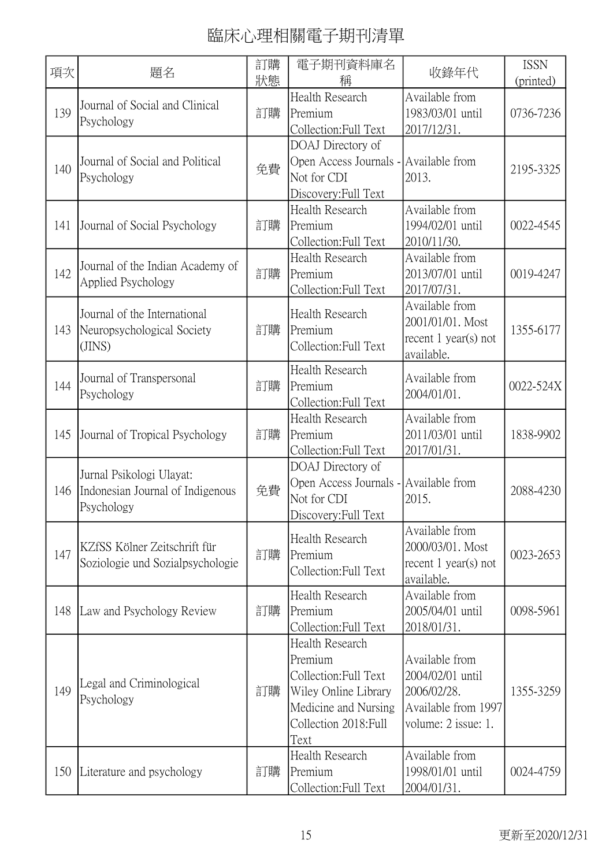| 項次  | 題名                                                                         | 訂購<br>狀態 | 電子期刊資料庫名<br>稱                                                                                                                        | 收錄年代                                                                                            | <b>ISSN</b><br>(printed) |
|-----|----------------------------------------------------------------------------|----------|--------------------------------------------------------------------------------------------------------------------------------------|-------------------------------------------------------------------------------------------------|--------------------------|
| 139 | Journal of Social and Clinical<br>Psychology                               | 訂購       | Health Research<br>Premium<br>Collection: Full Text                                                                                  | Available from<br>1983/03/01 until<br>2017/12/31.                                               | 0736-7236                |
| 140 | Journal of Social and Political<br>Psychology                              | 免費       | DOAJ Directory of<br>Open Access Journals - Available from<br>Not for CDI<br>Discovery: Full Text                                    | 2013.                                                                                           | 2195-3325                |
| 141 | Journal of Social Psychology                                               | 訂購       | Health Research<br>Premium<br>Collection: Full Text                                                                                  | Available from<br>1994/02/01 until<br>2010/11/30.                                               | 0022-4545                |
| 142 | Journal of the Indian Academy of<br>Applied Psychology                     | 訂購       | Health Research<br>Premium<br>Collection: Full Text                                                                                  | Available from<br>2013/07/01 until<br>2017/07/31.                                               | 0019-4247                |
| 143 | Journal of the International<br>Neuropsychological Society<br>(JINS)       | 訂購       | <b>Health Research</b><br>Premium<br>Collection: Full Text                                                                           | Available from<br>2001/01/01. Most<br>recent $1$ year(s) not<br>available.                      | 1355-6177                |
| 144 | Journal of Transpersonal<br>Psychology                                     | 訂購       | Health Research<br>Premium<br>Collection:Full Text                                                                                   | Available from<br>2004/01/01.                                                                   | 0022-524X                |
| 145 | Journal of Tropical Psychology                                             | 訂購       | Health Research<br>Premium<br>Collection: Full Text                                                                                  | Available from<br>2011/03/01 until<br>2017/01/31.                                               | 1838-9902                |
| 146 | Jurnal Psikologi Ulayat:<br>Indonesian Journal of Indigenous<br>Psychology | 免費       | DOAJ Directory of<br>Open Access Journals - Available from<br>Not for CDI<br>Discovery: Full Text                                    | 2015.                                                                                           | 2088-4230                |
| 147 | KZfSS Kölner Zeitschrift für<br>Soziologie und Sozialpsychologie           | 訂購       | Health Research<br>Premium<br>Collection:Full Text                                                                                   | Available from<br>2000/03/01. Most<br>recent $1$ year(s) not<br>available.                      | 0023-2653                |
| 148 | Law and Psychology Review                                                  | 訂購       | Health Research<br>Premium<br>Collection: Full Text                                                                                  | Available from<br>2005/04/01 until<br>2018/01/31.                                               | 0098-5961                |
| 149 | Legal and Criminological<br>Psychology                                     | 訂購       | Health Research<br>Premium<br>Collection: Full Text<br>Wiley Online Library<br>Medicine and Nursing<br>Collection 2018: Full<br>Text | Available from<br>2004/02/01 until<br>2006/02/28.<br>Available from 1997<br>volume: 2 issue: 1. | 1355-3259                |
| 150 | Literature and psychology                                                  | 訂購       | Health Research<br>Premium<br>Collection: Full Text                                                                                  | Available from<br>1998/01/01 until<br>2004/01/31.                                               | 0024-4759                |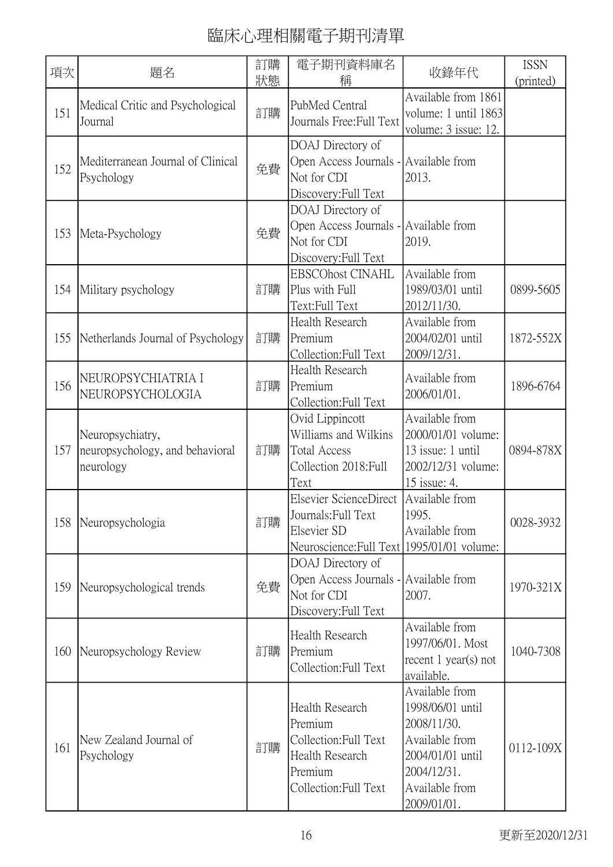| 項次  | 題名                                                               | 訂購<br>狀態 | 電子期刊資料庫名<br>稱                                                                                              | 收錄年代                                                                                                                                    | <b>ISSN</b><br>(printed) |
|-----|------------------------------------------------------------------|----------|------------------------------------------------------------------------------------------------------------|-----------------------------------------------------------------------------------------------------------------------------------------|--------------------------|
| 151 | Medical Critic and Psychological<br>Journal                      | 訂購       | PubMed Central<br>Journals Free: Full Text                                                                 | Available from 1861<br>volume: 1 until 1863<br>volume: 3 issue: 12.                                                                     |                          |
| 152 | Mediterranean Journal of Clinical<br>Psychology                  | 免費       | DOAJ Directory of<br>Open Access Journals - Available from<br>Not for CDI<br>Discovery: Full Text          | 2013.                                                                                                                                   |                          |
| 153 | Meta-Psychology                                                  | 免費       | DOAJ Directory of<br>Open Access Journals - Available from<br>Not for CDI<br>Discovery: Full Text          | 2019.                                                                                                                                   |                          |
| 154 | Military psychology                                              | 訂購       | <b>EBSCOhost CINAHL</b><br>Plus with Full<br>Text:Full Text                                                | Available from<br>1989/03/01 until<br>2012/11/30.                                                                                       | 0899-5605                |
| 155 | Netherlands Journal of Psychology                                | 訂購       | Health Research<br>Premium<br>Collection: Full Text                                                        | Available from<br>2004/02/01 until<br>2009/12/31.                                                                                       | 1872-552X                |
| 156 | NEUROPSYCHIATRIA I<br>NEUROPSYCHOLOGIA                           | 訂購       | Health Research<br>Premium<br>Collection: Full Text                                                        | Available from<br>2006/01/01.                                                                                                           | 1896-6764                |
| 157 | Neuropsychiatry,<br>neuropsychology, and behavioral<br>neurology | 訂購       | Ovid Lippincott<br>Williams and Wilkins<br><b>Total Access</b><br>Collection 2018: Full<br>Text            | Available from<br>2000/01/01 volume:<br>13 issue: 1 until<br>2002/12/31 volume:<br>15 issue: 4.                                         | 0894-878X                |
| 158 | Neuropsychologia                                                 | 訂購       | Elsevier ScienceDirect<br>Journals: Full Text<br>Elsevier SD<br>Neuroscience: Full Text 1995/01/01 volume: | Available from<br>1995.<br>Available from                                                                                               | 0028-3932                |
| 159 | Neuropsychological trends                                        | 免費       | DOAJ Directory of<br>Open Access Journals - Available from<br>Not for CDI<br>Discovery: Full Text          | 2007.                                                                                                                                   | 1970-321X                |
| 160 | Neuropsychology Review                                           | 訂購       | Health Research<br>Premium<br>Collection: Full Text                                                        | Available from<br>1997/06/01. Most<br>recent $1$ year(s) not<br>available.                                                              | 1040-7308                |
| 161 | New Zealand Journal of<br>Psychology                             | 訂購       | Health Research<br>Premium<br>Collection: Full Text<br>Health Research<br>Premium<br>Collection: Full Text | Available from<br>1998/06/01 until<br>2008/11/30.<br>Available from<br>2004/01/01 until<br>2004/12/31.<br>Available from<br>2009/01/01. | 0112-109X                |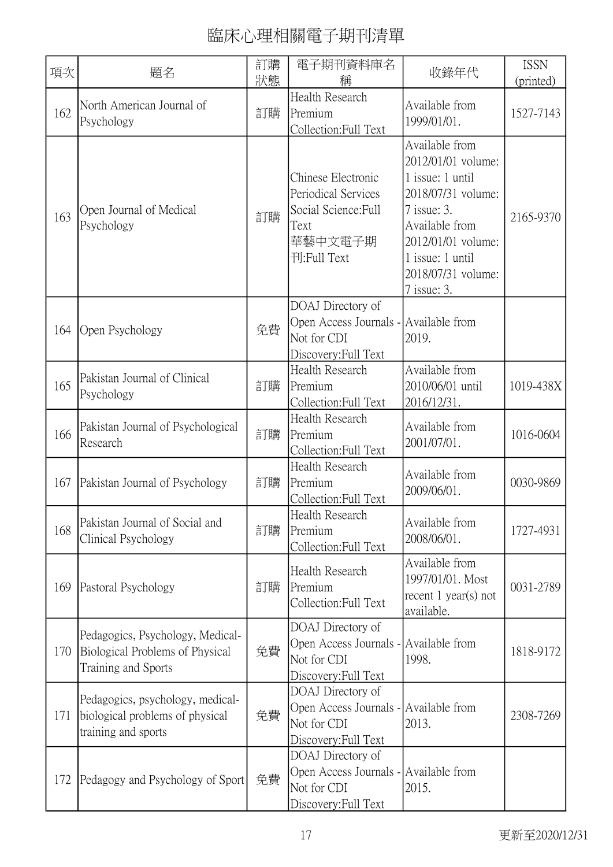| 項次  | 題名                                                                                         | 訂購<br>狀態 | 電子期刊資料庫名<br>稱                                                                                       | 收錄年代                                                                                                                                                                                           | <b>ISSN</b><br>(printed) |
|-----|--------------------------------------------------------------------------------------------|----------|-----------------------------------------------------------------------------------------------------|------------------------------------------------------------------------------------------------------------------------------------------------------------------------------------------------|--------------------------|
| 162 | North American Journal of<br>Psychology                                                    | 訂購       | Health Research<br>Premium<br>Collection: Full Text                                                 | Available from<br>1999/01/01.                                                                                                                                                                  | 1527-7143                |
| 163 | Open Journal of Medical<br>Psychology                                                      | 訂購       | Chinese Electronic<br>Periodical Services<br>Social Science: Full<br>Text<br>華藝中文電子期<br>刊:Full Text | Available from<br>2012/01/01 volume:<br>1 issue: 1 until<br>2018/07/31 volume:<br>7 issue: 3.<br>Available from<br>2012/01/01 volume:<br>1 issue: 1 until<br>2018/07/31 volume:<br>7 issue: 3. | 2165-9370                |
| 164 | Open Psychology                                                                            | 免費       | DOAJ Directory of<br>Open Access Journals -<br>Not for CDI<br>Discovery: Full Text                  | Available from<br>2019.                                                                                                                                                                        |                          |
| 165 | Pakistan Journal of Clinical<br>Psychology                                                 | 訂購       | Health Research<br>Premium<br>Collection: Full Text                                                 | Available from<br>2010/06/01 until<br>2016/12/31.                                                                                                                                              | 1019-438X                |
| 166 | Pakistan Journal of Psychological<br>Research                                              | 訂購       | Health Research<br>Premium<br>Collection: Full Text                                                 | Available from<br>2001/07/01.                                                                                                                                                                  | 1016-0604                |
| 167 | Pakistan Journal of Psychology                                                             | 訂購       | Health Research<br>Premium<br>Collection: Full Text                                                 | Available from<br>2009/06/01.                                                                                                                                                                  | 0030-9869                |
| 168 | Pakistan Journal of Social and<br>Clinical Psychology                                      | 訂購       | Health Research<br>Premium<br>Collection: Full Text                                                 | Available from<br>2008/06/01.                                                                                                                                                                  | 1727-4931                |
| 169 | Pastoral Psychology                                                                        | 訂購       | Health Research<br>Premium<br>Collection:Full Text                                                  | Available from<br>1997/01/01. Most<br>recent $1$ year(s) not<br>available.                                                                                                                     | 0031-2789                |
| 170 | Pedagogics, Psychology, Medical-<br>Biological Problems of Physical<br>Training and Sports | 免費       | DOAJ Directory of<br>Open Access Journals -<br>Not for CDI<br>Discovery: Full Text                  | Available from<br>1998.                                                                                                                                                                        | 1818-9172                |
| 171 | Pedagogics, psychology, medical-<br>biological problems of physical<br>training and sports | 免費       | DOAJ Directory of<br>Open Access Journals - Available from<br>Not for CDI<br>Discovery: Full Text   | 2013.                                                                                                                                                                                          | 2308-7269                |
| 172 | Pedagogy and Psychology of Sport                                                           | 免費       | DOAJ Directory of<br>Open Access Journals - Available from<br>Not for CDI<br>Discovery: Full Text   | 2015.                                                                                                                                                                                          |                          |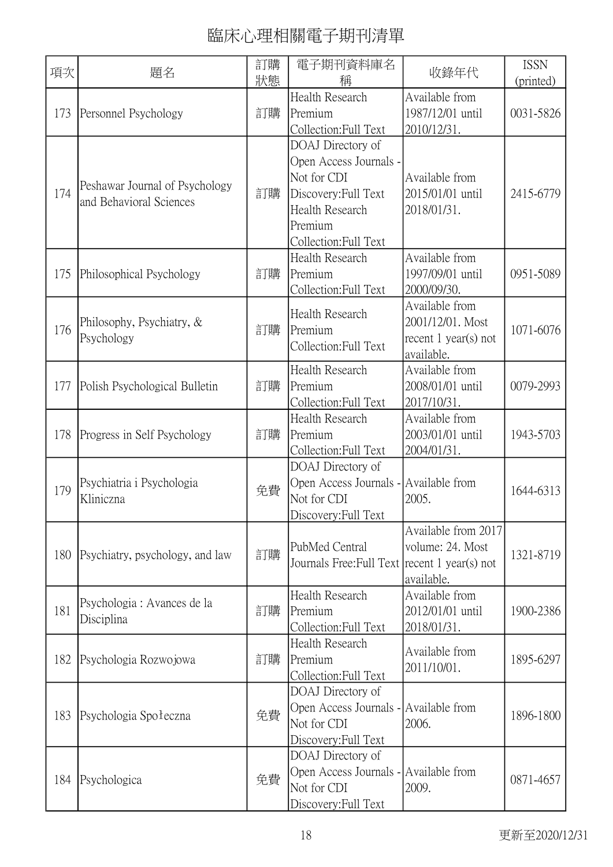| 項次  | 題名                                                        | 訂購<br>狀態 | 電子期刊資料庫名<br>稱                                                                                                                             | 收錄年代                                                                     | <b>ISSN</b><br>(printed) |
|-----|-----------------------------------------------------------|----------|-------------------------------------------------------------------------------------------------------------------------------------------|--------------------------------------------------------------------------|--------------------------|
| 173 | Personnel Psychology                                      | 訂購       | Health Research<br>Premium<br>Collection: Full Text                                                                                       | Available from<br>1987/12/01 until<br>2010/12/31.                        | 0031-5826                |
| 174 | Peshawar Journal of Psychology<br>and Behavioral Sciences | 訂購       | DOAJ Directory of<br>Open Access Journals -<br>Not for CDI<br>Discovery: Full Text<br>Health Research<br>Premium<br>Collection: Full Text | Available from<br>2015/01/01 until<br>2018/01/31.                        | 2415-6779                |
| 175 | Philosophical Psychology                                  | 訂購       | Health Research<br>Premium<br>Collection: Full Text                                                                                       | Available from<br>1997/09/01 until<br>2000/09/30.                        | 0951-5089                |
| 176 | Philosophy, Psychiatry, &<br>Psychology                   | 訂購       | Health Research<br>Premium<br>Collection: Full Text                                                                                       | Available from<br>2001/12/01. Most<br>recent 1 year(s) not<br>available. | 1071-6076                |
| 177 | Polish Psychological Bulletin                             | 訂購       | Health Research<br>Premium<br>Collection: Full Text                                                                                       | Available from<br>2008/01/01 until<br>2017/10/31.                        | 0079-2993                |
| 178 | Progress in Self Psychology                               | 訂購       | Health Research<br>Premium<br>Collection: Full Text                                                                                       | Available from<br>2003/01/01 until<br>2004/01/31.                        | 1943-5703                |
| 179 | Psychiatria i Psychologia<br>Kliniczna                    | 免費       | DOAJ Directory of<br>Open Access Journals - Available from<br>Not for CDI<br>Discovery: Full Text                                         | 2005.                                                                    | 1644-6313                |
| 180 | Psychiatry, psychology, and law                           | 訂購       | PubMed Central<br>Journals Free: Full Text recent 1 year(s) not                                                                           | Available from 2017<br>volume: 24. Most<br>available.                    | 1321-8719                |
| 181 | Psychologia : Avances de la<br>Disciplina                 | 訂購       | <b>Health Research</b><br>Premium<br>Collection: Full Text                                                                                | Available from<br>2012/01/01 until<br>2018/01/31.                        | 1900-2386                |
| 182 | Psychologia Rozwojowa                                     | 訂購       | Health Research<br>Premium<br>Collection: Full Text                                                                                       | Available from<br>2011/10/01.                                            | 1895-6297                |
| 183 | Psychologia Społeczna                                     | 免費       | DOAJ Directory of<br>Open Access Journals - Available from<br>Not for CDI<br>Discovery: Full Text                                         | 2006.                                                                    | 1896-1800                |
| 184 | Psychologica                                              | 免費       | DOAJ Directory of<br>Open Access Journals - Available from<br>Not for CDI<br>Discovery: Full Text                                         | 2009.                                                                    | 0871-4657                |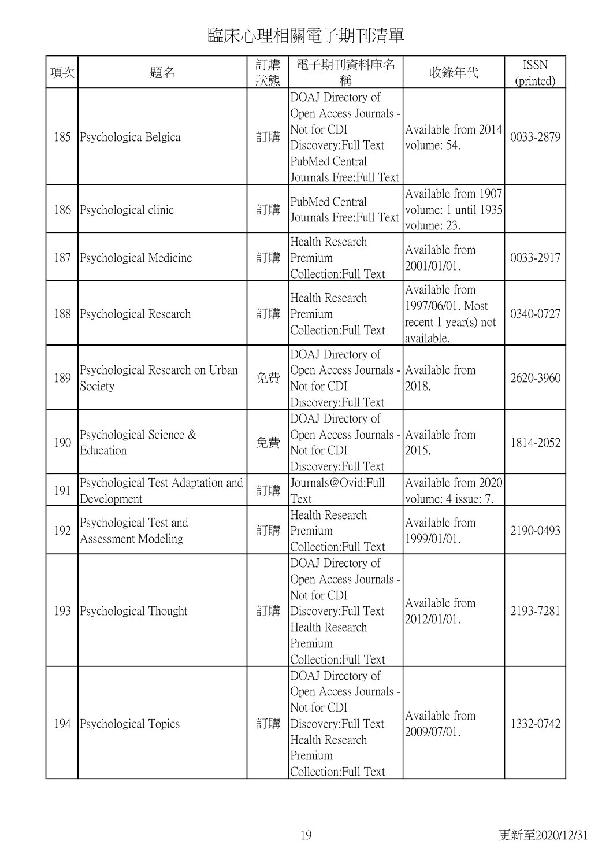| 項次  | 題名                                               | 訂購<br>狀態 | 電子期刊資料庫名<br>稱                                                                                                                             | 收錄年代                                                                       | <b>ISSN</b><br>(printed) |
|-----|--------------------------------------------------|----------|-------------------------------------------------------------------------------------------------------------------------------------------|----------------------------------------------------------------------------|--------------------------|
| 185 | Psychologica Belgica                             | 訂購       | DOAJ Directory of<br>Open Access Journals -<br>Not for CDI<br>Discovery: Full Text<br>PubMed Central<br>Journals Free: Full Text          | Available from 2014<br>volume: 54.                                         | 0033-2879                |
| 186 | Psychological clinic                             | 訂購       | PubMed Central<br>Journals Free: Full Text                                                                                                | Available from 1907<br>volume: 1 until 1935<br>volume: 23.                 |                          |
| 187 | Psychological Medicine                           | 訂購       | Health Research<br>Premium<br>Collection: Full Text                                                                                       | Available from<br>2001/01/01.                                              | 0033-2917                |
| 188 | Psychological Research                           | 訂購       | Health Research<br>Premium<br>Collection: Full Text                                                                                       | Available from<br>1997/06/01. Most<br>recent $1$ year(s) not<br>available. | 0340-0727                |
| 189 | Psychological Research on Urban<br>Society       | 免費       | DOAJ Directory of<br>Open Access Journals - Available from<br>Not for CDI<br>Discovery: Full Text                                         | 2018.                                                                      | 2620-3960                |
| 190 | Psychological Science &<br>Education             | 免費       | DOAJ Directory of<br>Open Access Journals - Available from<br>Not for CDI<br>Discovery: Full Text                                         | 2015.                                                                      | 1814-2052                |
| 191 | Psychological Test Adaptation and<br>Development | 訂購       | Journals@Ovid:Full<br>Text                                                                                                                | Available from 2020<br>volume: 4 issue: 7.                                 |                          |
| 192 | Psychological Test and<br>Assessment Modeling    | 訂購       | Health Research<br>Premium<br>Collection: Full Text                                                                                       | Available from<br>1999/01/01.                                              | 2190-0493                |
| 193 | Psychological Thought                            | 訂購       | DOAJ Directory of<br>Open Access Journals -<br>Not for CDI<br>Discovery: Full Text<br>Health Research<br>Premium<br>Collection: Full Text | Available from<br>2012/01/01.                                              | 2193-7281                |
| 194 | Psychological Topics                             | 訂購       | DOAJ Directory of<br>Open Access Journals -<br>Not for CDI<br>Discovery: Full Text<br>Health Research<br>Premium<br>Collection:Full Text  | Available from<br>2009/07/01.                                              | 1332-0742                |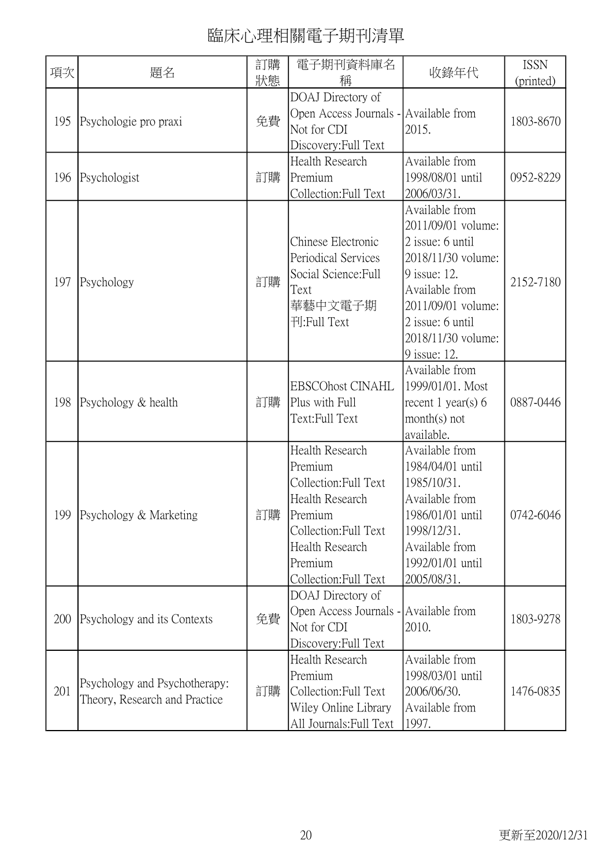| 項次  | 題名                                                             | 訂購<br>狀態 | 電子期刊資料庫名<br>稱                                                                                                                                                            | 收錄年代                                                                                                                                                                                             | <b>ISSN</b><br>(printed) |
|-----|----------------------------------------------------------------|----------|--------------------------------------------------------------------------------------------------------------------------------------------------------------------------|--------------------------------------------------------------------------------------------------------------------------------------------------------------------------------------------------|--------------------------|
| 195 | Psychologie pro praxi                                          | 免費       | DOAJ Directory of<br>Open Access Journals - Available from<br>Not for CDI<br>Discovery: Full Text                                                                        | 2015.                                                                                                                                                                                            | 1803-8670                |
| 196 | Psychologist                                                   | 訂購       | Health Research<br>Premium<br>Collection: Full Text                                                                                                                      | Available from<br>1998/08/01 until<br>2006/03/31.                                                                                                                                                | 0952-8229                |
| 197 | Psychology                                                     | 訂購       | Chinese Electronic<br>Periodical Services<br>Social Science: Full<br>Text<br>華藝中文電子期<br>刊:Full Text                                                                      | Available from<br>2011/09/01 volume:<br>2 issue: 6 until<br>2018/11/30 volume:<br>9 issue: 12.<br>Available from<br>2011/09/01 volume:<br>2 issue: 6 until<br>2018/11/30 volume:<br>9 issue: 12. | 2152-7180                |
| 198 | Psychology & health                                            | 訂購       | <b>EBSCOhost CINAHL</b><br>Plus with Full<br>Text:Full Text                                                                                                              | Available from<br>1999/01/01. Most<br>recent 1 year(s) $6$<br>$month(s)$ not<br>available.                                                                                                       | 0887-0446                |
|     | 199   Psychology & Marketing                                   | 訂購       | <b>Health Research</b><br>Premium<br>Collection: Full Text<br>Health Research<br>Premium<br>Collection: Full Text<br>Health Research<br>Premium<br>Collection: Full Text | Available from<br>1984/04/01 until<br>1985/10/31.<br>Available from<br>1986/01/01 until<br>1998/12/31.<br>Available from<br>1992/01/01 until<br>2005/08/31.                                      | 0742-6046                |
| 200 | Psychology and its Contexts                                    | 免費       | DOAJ Directory of<br>Open Access Journals - Available from<br>Not for CDI<br>Discovery: Full Text                                                                        | 2010.                                                                                                                                                                                            | 1803-9278                |
| 201 | Psychology and Psychotherapy:<br>Theory, Research and Practice | 訂購       | Health Research<br>Premium<br>Collection: Full Text<br>Wiley Online Library<br>All Journals: Full Text                                                                   | Available from<br>1998/03/01 until<br>2006/06/30.<br>Available from<br>1997.                                                                                                                     | 1476-0835                |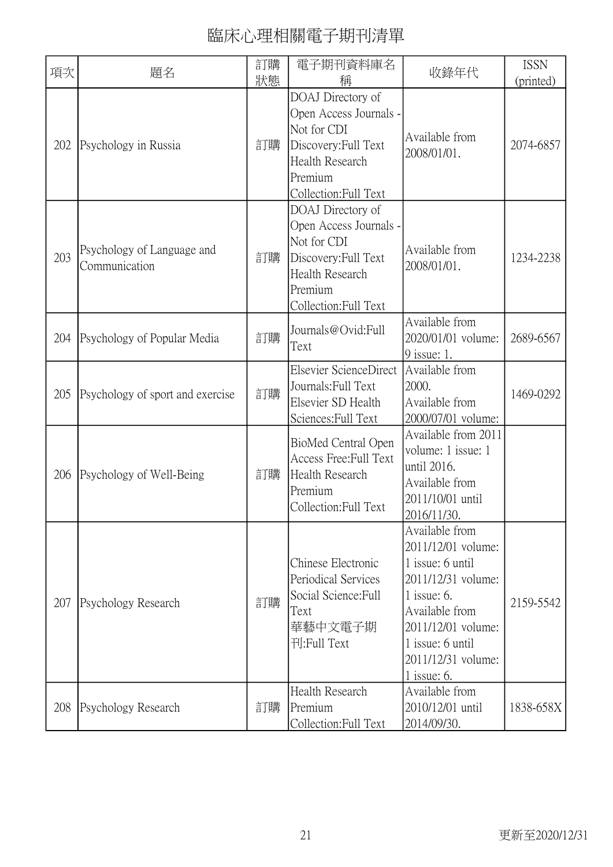| 項次  | 題名                                          | 訂購<br>狀態 | 電子期刊資料庫名<br>稱                                                                                                                             | 收錄年代                                                                                                                                                                                                | <b>ISSN</b><br>(printed) |
|-----|---------------------------------------------|----------|-------------------------------------------------------------------------------------------------------------------------------------------|-----------------------------------------------------------------------------------------------------------------------------------------------------------------------------------------------------|--------------------------|
| 202 | Psychology in Russia                        | 訂購       | DOAJ Directory of<br>Open Access Journals -<br>Not for CDI<br>Discovery: Full Text<br>Health Research<br>Premium<br>Collection: Full Text | Available from<br>2008/01/01.                                                                                                                                                                       | 2074-6857                |
| 203 | Psychology of Language and<br>Communication | 訂購       | DOAJ Directory of<br>Open Access Journals -<br>Not for CDI<br>Discovery: Full Text<br>Health Research<br>Premium<br>Collection: Full Text | Available from<br>2008/01/01.                                                                                                                                                                       | 1234-2238                |
| 204 | Psychology of Popular Media                 | 訂購       | Journals@Ovid:Full<br>Text                                                                                                                | Available from<br>2020/01/01 volume:<br>9 issue: 1.                                                                                                                                                 | 2689-6567                |
| 205 | Psychology of sport and exercise            | 訂購       | Elsevier ScienceDirect<br>Journals: Full Text<br>Elsevier SD Health<br>Sciences: Full Text                                                | Available from<br>2000.<br>Available from<br>2000/07/01 volume:                                                                                                                                     | 1469-0292                |
| 206 | Psychology of Well-Being                    | 訂購       | BioMed Central Open<br>Access Free: Full Text<br>Health Research<br>Premium<br>Collection: Full Text                                      | Available from 2011<br>volume: 1 issue: 1<br>until 2016.<br>Available from<br>2011/10/01 until<br>2016/11/30.                                                                                       |                          |
| 207 | Psychology Research                         | 訂購       | Chinese Electronic<br>Periodical Services<br>Social Science: Full<br>Text<br>華藝中文電子期<br>刊:Full Text                                       | Available from<br>2011/12/01 volume:<br>1 issue: 6 until<br>2011/12/31 volume:<br>1 issue: $6$ .<br>Available from<br>2011/12/01 volume:<br>1 issue: 6 until<br>2011/12/31 volume:<br>$1$ issue: 6. | 2159-5542                |
| 208 | Psychology Research                         | 訂購       | Health Research<br>Premium<br>Collection: Full Text                                                                                       | Available from<br>2010/12/01 until<br>2014/09/30.                                                                                                                                                   | 1838-658X                |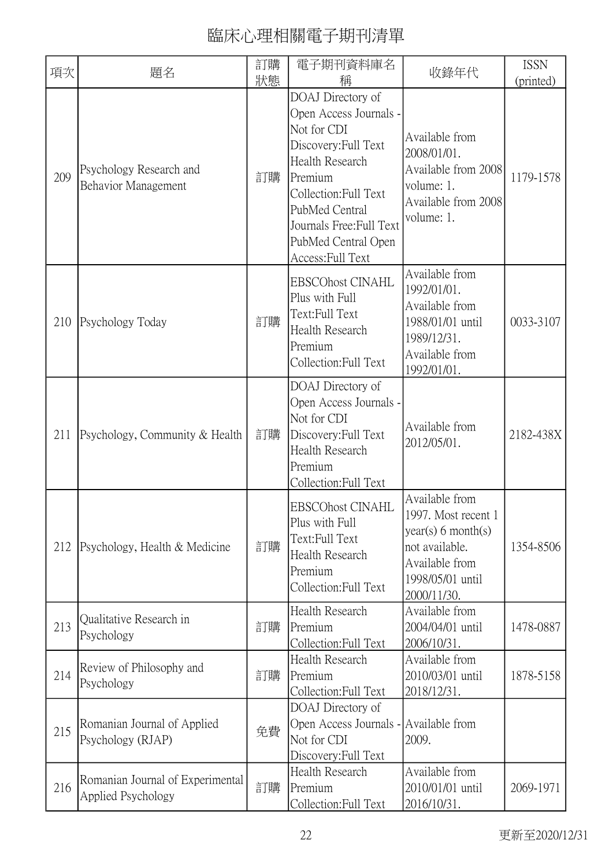| 項次  | 題名                                                     | 訂購 | 電子期刊資料庫名                                                                                                                                                                                                                            | 收錄年代                                                                                                                               | <b>ISSN</b> |
|-----|--------------------------------------------------------|----|-------------------------------------------------------------------------------------------------------------------------------------------------------------------------------------------------------------------------------------|------------------------------------------------------------------------------------------------------------------------------------|-------------|
|     |                                                        | 狀態 | 稱                                                                                                                                                                                                                                   |                                                                                                                                    | (printed)   |
| 209 | Psychology Research and<br>Behavior Management         | 訂購 | DOAJ Directory of<br>Open Access Journals -<br>Not for CDI<br>Discovery: Full Text<br>Health Research<br>Premium<br>Collection: Full Text<br>PubMed Central<br>Journals Free: Full Text<br>PubMed Central Open<br>Access: Full Text | Available from<br>2008/01/01.<br>Available from 2008<br>volume: 1.<br>Available from 2008<br>volume: 1.                            | 1179-1578   |
| 210 | Psychology Today                                       | 訂購 | <b>EBSCOhost CINAHL</b><br>Plus with Full<br>Text:Full Text<br>Health Research<br>Premium<br>Collection: Full Text                                                                                                                  | Available from<br>1992/01/01.<br>Available from<br>1988/01/01 until<br>1989/12/31.<br>Available from<br>1992/01/01.                | 0033-3107   |
| 211 | Psychology, Community & Health                         | 訂購 | DOAJ Directory of<br>Open Access Journals -<br>Not for CDI<br>Discovery: Full Text<br><b>Health Research</b><br>Premium<br>Collection: Full Text                                                                                    | Available from<br>2012/05/01.                                                                                                      | 2182-438X   |
| 212 | Psychology, Health & Medicine                          | 訂購 | <b>EBSCOhost CINAHL</b><br>Plus with Full<br>Text:Full Text<br><b>Health Research</b><br>Premium<br>Collection: Full Text                                                                                                           | Available from<br>1997. Most recent 1<br>year(s) 6 month(s)<br>not available.<br>Available from<br>1998/05/01 until<br>2000/11/30. | 1354-8506   |
| 213 | Qualitative Research in<br>Psychology                  | 訂購 | Health Research<br>Premium<br>Collection: Full Text                                                                                                                                                                                 | Available from<br>2004/04/01 until<br>2006/10/31.                                                                                  | 1478-0887   |
| 214 | Review of Philosophy and<br>Psychology                 | 訂購 | Health Research<br>Premium<br>Collection: Full Text                                                                                                                                                                                 | Available from<br>2010/03/01 until<br>2018/12/31.                                                                                  | 1878-5158   |
| 215 | Romanian Journal of Applied<br>Psychology (RJAP)       | 免費 | DOAJ Directory of<br>Open Access Journals - Available from<br>Not for CDI<br>Discovery: Full Text                                                                                                                                   | 2009.                                                                                                                              |             |
| 216 | Romanian Journal of Experimental<br>Applied Psychology | 訂購 | Health Research<br>Premium<br>Collection: Full Text                                                                                                                                                                                 | Available from<br>2010/01/01 until<br>2016/10/31.                                                                                  | 2069-1971   |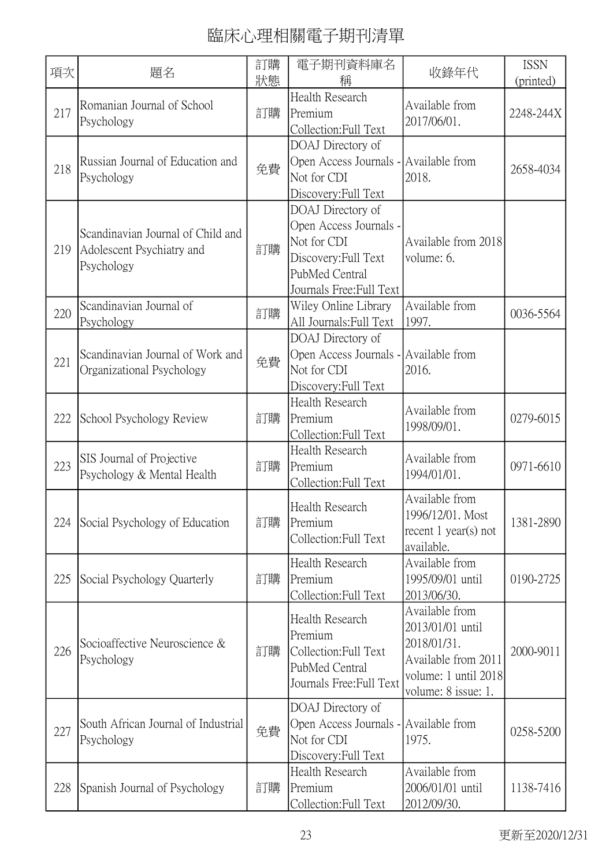| 項次  | 題名                                                                           | 訂購<br>狀態 | 電子期刊資料庫名<br>稱                                                                                                                    | 收錄年代                                                                                                                    | <b>ISSN</b><br>(printed) |
|-----|------------------------------------------------------------------------------|----------|----------------------------------------------------------------------------------------------------------------------------------|-------------------------------------------------------------------------------------------------------------------------|--------------------------|
| 217 | Romanian Journal of School<br>Psychology                                     | 訂購       | Health Research<br>Premium<br>Collection: Full Text                                                                              | Available from<br>2017/06/01.                                                                                           | 2248-244X                |
| 218 | Russian Journal of Education and<br>Psychology                               | 免費       | DOAJ Directory of<br>Open Access Journals - Available from<br>Not for CDI<br>Discovery: Full Text                                | 2018.                                                                                                                   | 2658-4034                |
| 219 | Scandinavian Journal of Child and<br>Adolescent Psychiatry and<br>Psychology | 訂購       | DOAJ Directory of<br>Open Access Journals -<br>Not for CDI<br>Discovery: Full Text<br>PubMed Central<br>Journals Free: Full Text | Available from 2018<br>volume: 6.                                                                                       |                          |
| 220 | Scandinavian Journal of<br>Psychology                                        | 訂購       | Wiley Online Library<br>All Journals: Full Text                                                                                  | Available from<br>1997.                                                                                                 | 0036-5564                |
| 221 | Scandinavian Journal of Work and<br>Organizational Psychology                | 免費       | DOAJ Directory of<br>Open Access Journals - Available from<br>Not for CDI<br>Discovery: Full Text                                | 2016.                                                                                                                   |                          |
| 222 | School Psychology Review                                                     | 訂購       | Health Research<br>Premium<br>Collection: Full Text                                                                              | Available from<br>1998/09/01.                                                                                           | 0279-6015                |
| 223 | SIS Journal of Projective<br>Psychology & Mental Health                      | 訂購       | Health Research<br>Premium<br>Collection: Full Text                                                                              | Available from<br>1994/01/01.                                                                                           | 0971-6610                |
| 224 | Social Psychology of Education                                               | 訂購       | Health Research<br>Premium<br>Collection: Full Text                                                                              | Available from<br>1996/12/01. Most<br>recent $1$ year(s) not<br>available.                                              | 1381-2890                |
| 225 | Social Psychology Quarterly                                                  | 訂購       | Health Research<br>Premium<br>Collection: Full Text                                                                              | Available from<br>1995/09/01 until<br>2013/06/30.                                                                       | 0190-2725                |
| 226 | Socioaffective Neuroscience &<br>Psychology                                  | 訂購       | Health Research<br>Premium<br>Collection: Full Text<br>PubMed Central<br>Journals Free: Full Text                                | Available from<br>2013/01/01 until<br>2018/01/31.<br>Available from 2011<br>volume: 1 until 2018<br>volume: 8 issue: 1. | 2000-9011                |
| 227 | South African Journal of Industrial<br>Psychology                            | 免費       | DOAJ Directory of<br>Open Access Journals - Available from<br>Not for CDI<br>Discovery: Full Text                                | 1975.                                                                                                                   | 0258-5200                |
| 228 | Spanish Journal of Psychology                                                | 訂購       | Health Research<br>Premium<br>Collection: Full Text                                                                              | Available from<br>2006/01/01 until<br>2012/09/30.                                                                       | 1138-7416                |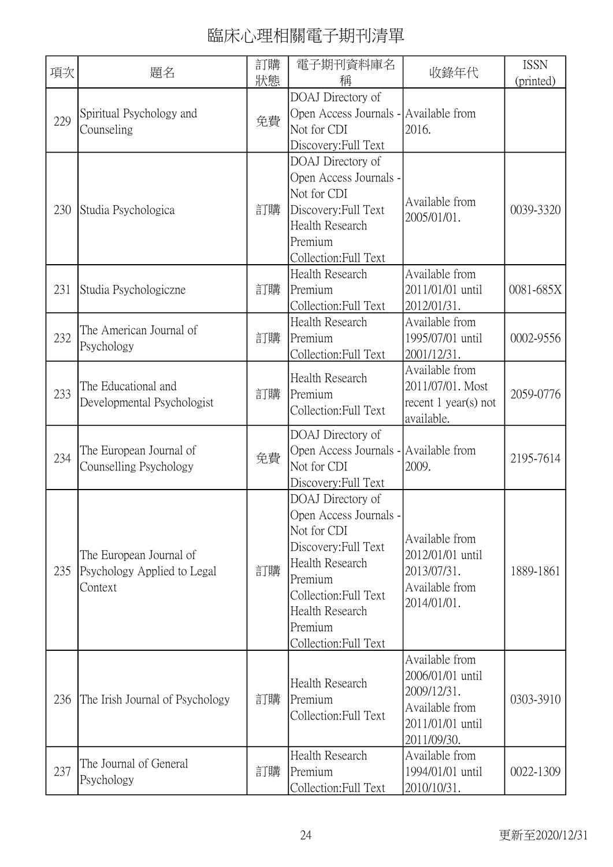| 狀態<br>稱<br>(printed)<br>DOAJ Directory of<br>Open Access Journals - Available from<br>Spiritual Psychology and<br>免費<br>229<br>Counseling<br>Not for CDI<br>2016.<br>Discovery: Full Text<br>DOAJ Directory of<br>Open Access Journals -<br>Not for CDI<br>Available from<br>230<br>訂購<br>0039-3320<br>Discovery: Full Text<br>Studia Psychologica<br>2005/01/01.<br>Health Research<br>Premium<br>Collection: Full Text<br>Available from<br>Health Research<br>訂購<br>2011/01/01 until<br>0081-685X<br>231<br>Premium<br>Studia Psychologiczne<br>Collection: Full Text<br>2012/01/31.<br>Health Research<br>Available from<br>The American Journal of<br>232<br>訂購<br>Premium<br>1995/07/01 until<br>0002-9556<br>Psychology<br>Collection: Full Text<br>2001/12/31.<br>Available from<br>Health Research<br>2011/07/01. Most<br>The Educational and<br>233<br>訂購<br>Premium<br>2059-0776<br>Developmental Psychologist<br>recent 1 year(s) not<br>Collection: Full Text<br>available.<br>DOAJ Directory of<br>The European Journal of<br>Open Access Journals - Available from<br>免費<br>234<br>2195-7614<br>Not for CDI<br>Counselling Psychology<br>2009.<br>Discovery: Full Text<br>DOAJ Directory of<br>Open Access Journals -<br>Not for CDI<br>Available from<br>Discovery: Full Text<br>The European Journal of<br>2012/01/01 until<br>Health Research<br>訂購<br>235<br>Psychology Applied to Legal<br>2013/07/31.<br>1889-1861<br>Premium<br>Available from<br>Context<br>Collection: Full Text<br>2014/01/01.<br>Health Research<br>Premium<br>Collection: Full Text<br>Available from<br>2006/01/01 until<br>Health Research<br>2009/12/31.<br>訂購<br>0303-3910<br>236<br>Premium<br>The Irish Journal of Psychology<br>Available from<br>Collection: Full Text<br>2011/01/01 until | 項次 | 題名 | 訂購 | 電子期刊資料庫名 | 收錄年代        | <b>ISSN</b> |
|-----------------------------------------------------------------------------------------------------------------------------------------------------------------------------------------------------------------------------------------------------------------------------------------------------------------------------------------------------------------------------------------------------------------------------------------------------------------------------------------------------------------------------------------------------------------------------------------------------------------------------------------------------------------------------------------------------------------------------------------------------------------------------------------------------------------------------------------------------------------------------------------------------------------------------------------------------------------------------------------------------------------------------------------------------------------------------------------------------------------------------------------------------------------------------------------------------------------------------------------------------------------------------------------------------------------------------------------------------------------------------------------------------------------------------------------------------------------------------------------------------------------------------------------------------------------------------------------------------------------------------------------------------------------------------------------------------------------------------------------------------------------------------------------------|----|----|----|----------|-------------|-------------|
|                                                                                                                                                                                                                                                                                                                                                                                                                                                                                                                                                                                                                                                                                                                                                                                                                                                                                                                                                                                                                                                                                                                                                                                                                                                                                                                                                                                                                                                                                                                                                                                                                                                                                                                                                                                               |    |    |    |          |             |             |
|                                                                                                                                                                                                                                                                                                                                                                                                                                                                                                                                                                                                                                                                                                                                                                                                                                                                                                                                                                                                                                                                                                                                                                                                                                                                                                                                                                                                                                                                                                                                                                                                                                                                                                                                                                                               |    |    |    |          |             |             |
|                                                                                                                                                                                                                                                                                                                                                                                                                                                                                                                                                                                                                                                                                                                                                                                                                                                                                                                                                                                                                                                                                                                                                                                                                                                                                                                                                                                                                                                                                                                                                                                                                                                                                                                                                                                               |    |    |    |          |             |             |
|                                                                                                                                                                                                                                                                                                                                                                                                                                                                                                                                                                                                                                                                                                                                                                                                                                                                                                                                                                                                                                                                                                                                                                                                                                                                                                                                                                                                                                                                                                                                                                                                                                                                                                                                                                                               |    |    |    |          |             |             |
|                                                                                                                                                                                                                                                                                                                                                                                                                                                                                                                                                                                                                                                                                                                                                                                                                                                                                                                                                                                                                                                                                                                                                                                                                                                                                                                                                                                                                                                                                                                                                                                                                                                                                                                                                                                               |    |    |    |          |             |             |
|                                                                                                                                                                                                                                                                                                                                                                                                                                                                                                                                                                                                                                                                                                                                                                                                                                                                                                                                                                                                                                                                                                                                                                                                                                                                                                                                                                                                                                                                                                                                                                                                                                                                                                                                                                                               |    |    |    |          |             |             |
|                                                                                                                                                                                                                                                                                                                                                                                                                                                                                                                                                                                                                                                                                                                                                                                                                                                                                                                                                                                                                                                                                                                                                                                                                                                                                                                                                                                                                                                                                                                                                                                                                                                                                                                                                                                               |    |    |    |          |             |             |
|                                                                                                                                                                                                                                                                                                                                                                                                                                                                                                                                                                                                                                                                                                                                                                                                                                                                                                                                                                                                                                                                                                                                                                                                                                                                                                                                                                                                                                                                                                                                                                                                                                                                                                                                                                                               |    |    |    |          |             |             |
|                                                                                                                                                                                                                                                                                                                                                                                                                                                                                                                                                                                                                                                                                                                                                                                                                                                                                                                                                                                                                                                                                                                                                                                                                                                                                                                                                                                                                                                                                                                                                                                                                                                                                                                                                                                               |    |    |    |          |             |             |
|                                                                                                                                                                                                                                                                                                                                                                                                                                                                                                                                                                                                                                                                                                                                                                                                                                                                                                                                                                                                                                                                                                                                                                                                                                                                                                                                                                                                                                                                                                                                                                                                                                                                                                                                                                                               |    |    |    |          |             |             |
|                                                                                                                                                                                                                                                                                                                                                                                                                                                                                                                                                                                                                                                                                                                                                                                                                                                                                                                                                                                                                                                                                                                                                                                                                                                                                                                                                                                                                                                                                                                                                                                                                                                                                                                                                                                               |    |    |    |          |             |             |
|                                                                                                                                                                                                                                                                                                                                                                                                                                                                                                                                                                                                                                                                                                                                                                                                                                                                                                                                                                                                                                                                                                                                                                                                                                                                                                                                                                                                                                                                                                                                                                                                                                                                                                                                                                                               |    |    |    |          |             |             |
|                                                                                                                                                                                                                                                                                                                                                                                                                                                                                                                                                                                                                                                                                                                                                                                                                                                                                                                                                                                                                                                                                                                                                                                                                                                                                                                                                                                                                                                                                                                                                                                                                                                                                                                                                                                               |    |    |    |          |             |             |
|                                                                                                                                                                                                                                                                                                                                                                                                                                                                                                                                                                                                                                                                                                                                                                                                                                                                                                                                                                                                                                                                                                                                                                                                                                                                                                                                                                                                                                                                                                                                                                                                                                                                                                                                                                                               |    |    |    |          |             |             |
|                                                                                                                                                                                                                                                                                                                                                                                                                                                                                                                                                                                                                                                                                                                                                                                                                                                                                                                                                                                                                                                                                                                                                                                                                                                                                                                                                                                                                                                                                                                                                                                                                                                                                                                                                                                               |    |    |    |          |             |             |
|                                                                                                                                                                                                                                                                                                                                                                                                                                                                                                                                                                                                                                                                                                                                                                                                                                                                                                                                                                                                                                                                                                                                                                                                                                                                                                                                                                                                                                                                                                                                                                                                                                                                                                                                                                                               |    |    |    |          |             |             |
|                                                                                                                                                                                                                                                                                                                                                                                                                                                                                                                                                                                                                                                                                                                                                                                                                                                                                                                                                                                                                                                                                                                                                                                                                                                                                                                                                                                                                                                                                                                                                                                                                                                                                                                                                                                               |    |    |    |          |             |             |
|                                                                                                                                                                                                                                                                                                                                                                                                                                                                                                                                                                                                                                                                                                                                                                                                                                                                                                                                                                                                                                                                                                                                                                                                                                                                                                                                                                                                                                                                                                                                                                                                                                                                                                                                                                                               |    |    |    |          |             |             |
|                                                                                                                                                                                                                                                                                                                                                                                                                                                                                                                                                                                                                                                                                                                                                                                                                                                                                                                                                                                                                                                                                                                                                                                                                                                                                                                                                                                                                                                                                                                                                                                                                                                                                                                                                                                               |    |    |    |          |             |             |
|                                                                                                                                                                                                                                                                                                                                                                                                                                                                                                                                                                                                                                                                                                                                                                                                                                                                                                                                                                                                                                                                                                                                                                                                                                                                                                                                                                                                                                                                                                                                                                                                                                                                                                                                                                                               |    |    |    |          |             |             |
|                                                                                                                                                                                                                                                                                                                                                                                                                                                                                                                                                                                                                                                                                                                                                                                                                                                                                                                                                                                                                                                                                                                                                                                                                                                                                                                                                                                                                                                                                                                                                                                                                                                                                                                                                                                               |    |    |    |          |             |             |
|                                                                                                                                                                                                                                                                                                                                                                                                                                                                                                                                                                                                                                                                                                                                                                                                                                                                                                                                                                                                                                                                                                                                                                                                                                                                                                                                                                                                                                                                                                                                                                                                                                                                                                                                                                                               |    |    |    |          |             |             |
|                                                                                                                                                                                                                                                                                                                                                                                                                                                                                                                                                                                                                                                                                                                                                                                                                                                                                                                                                                                                                                                                                                                                                                                                                                                                                                                                                                                                                                                                                                                                                                                                                                                                                                                                                                                               |    |    |    |          |             |             |
|                                                                                                                                                                                                                                                                                                                                                                                                                                                                                                                                                                                                                                                                                                                                                                                                                                                                                                                                                                                                                                                                                                                                                                                                                                                                                                                                                                                                                                                                                                                                                                                                                                                                                                                                                                                               |    |    |    |          |             |             |
|                                                                                                                                                                                                                                                                                                                                                                                                                                                                                                                                                                                                                                                                                                                                                                                                                                                                                                                                                                                                                                                                                                                                                                                                                                                                                                                                                                                                                                                                                                                                                                                                                                                                                                                                                                                               |    |    |    |          |             |             |
|                                                                                                                                                                                                                                                                                                                                                                                                                                                                                                                                                                                                                                                                                                                                                                                                                                                                                                                                                                                                                                                                                                                                                                                                                                                                                                                                                                                                                                                                                                                                                                                                                                                                                                                                                                                               |    |    |    |          |             |             |
|                                                                                                                                                                                                                                                                                                                                                                                                                                                                                                                                                                                                                                                                                                                                                                                                                                                                                                                                                                                                                                                                                                                                                                                                                                                                                                                                                                                                                                                                                                                                                                                                                                                                                                                                                                                               |    |    |    |          |             |             |
|                                                                                                                                                                                                                                                                                                                                                                                                                                                                                                                                                                                                                                                                                                                                                                                                                                                                                                                                                                                                                                                                                                                                                                                                                                                                                                                                                                                                                                                                                                                                                                                                                                                                                                                                                                                               |    |    |    |          |             |             |
|                                                                                                                                                                                                                                                                                                                                                                                                                                                                                                                                                                                                                                                                                                                                                                                                                                                                                                                                                                                                                                                                                                                                                                                                                                                                                                                                                                                                                                                                                                                                                                                                                                                                                                                                                                                               |    |    |    |          |             |             |
|                                                                                                                                                                                                                                                                                                                                                                                                                                                                                                                                                                                                                                                                                                                                                                                                                                                                                                                                                                                                                                                                                                                                                                                                                                                                                                                                                                                                                                                                                                                                                                                                                                                                                                                                                                                               |    |    |    |          |             |             |
|                                                                                                                                                                                                                                                                                                                                                                                                                                                                                                                                                                                                                                                                                                                                                                                                                                                                                                                                                                                                                                                                                                                                                                                                                                                                                                                                                                                                                                                                                                                                                                                                                                                                                                                                                                                               |    |    |    |          |             |             |
|                                                                                                                                                                                                                                                                                                                                                                                                                                                                                                                                                                                                                                                                                                                                                                                                                                                                                                                                                                                                                                                                                                                                                                                                                                                                                                                                                                                                                                                                                                                                                                                                                                                                                                                                                                                               |    |    |    |          |             |             |
|                                                                                                                                                                                                                                                                                                                                                                                                                                                                                                                                                                                                                                                                                                                                                                                                                                                                                                                                                                                                                                                                                                                                                                                                                                                                                                                                                                                                                                                                                                                                                                                                                                                                                                                                                                                               |    |    |    |          |             |             |
|                                                                                                                                                                                                                                                                                                                                                                                                                                                                                                                                                                                                                                                                                                                                                                                                                                                                                                                                                                                                                                                                                                                                                                                                                                                                                                                                                                                                                                                                                                                                                                                                                                                                                                                                                                                               |    |    |    |          |             |             |
|                                                                                                                                                                                                                                                                                                                                                                                                                                                                                                                                                                                                                                                                                                                                                                                                                                                                                                                                                                                                                                                                                                                                                                                                                                                                                                                                                                                                                                                                                                                                                                                                                                                                                                                                                                                               |    |    |    |          |             |             |
|                                                                                                                                                                                                                                                                                                                                                                                                                                                                                                                                                                                                                                                                                                                                                                                                                                                                                                                                                                                                                                                                                                                                                                                                                                                                                                                                                                                                                                                                                                                                                                                                                                                                                                                                                                                               |    |    |    |          |             |             |
| Health Research<br>Available from                                                                                                                                                                                                                                                                                                                                                                                                                                                                                                                                                                                                                                                                                                                                                                                                                                                                                                                                                                                                                                                                                                                                                                                                                                                                                                                                                                                                                                                                                                                                                                                                                                                                                                                                                             |    |    |    |          | 2011/09/30. |             |
| The Journal of General<br>237<br>訂購<br>Premium<br>1994/01/01 until<br>0022-1309                                                                                                                                                                                                                                                                                                                                                                                                                                                                                                                                                                                                                                                                                                                                                                                                                                                                                                                                                                                                                                                                                                                                                                                                                                                                                                                                                                                                                                                                                                                                                                                                                                                                                                               |    |    |    |          |             |             |
| Psychology<br>Collection: Full Text<br>2010/10/31.                                                                                                                                                                                                                                                                                                                                                                                                                                                                                                                                                                                                                                                                                                                                                                                                                                                                                                                                                                                                                                                                                                                                                                                                                                                                                                                                                                                                                                                                                                                                                                                                                                                                                                                                            |    |    |    |          |             |             |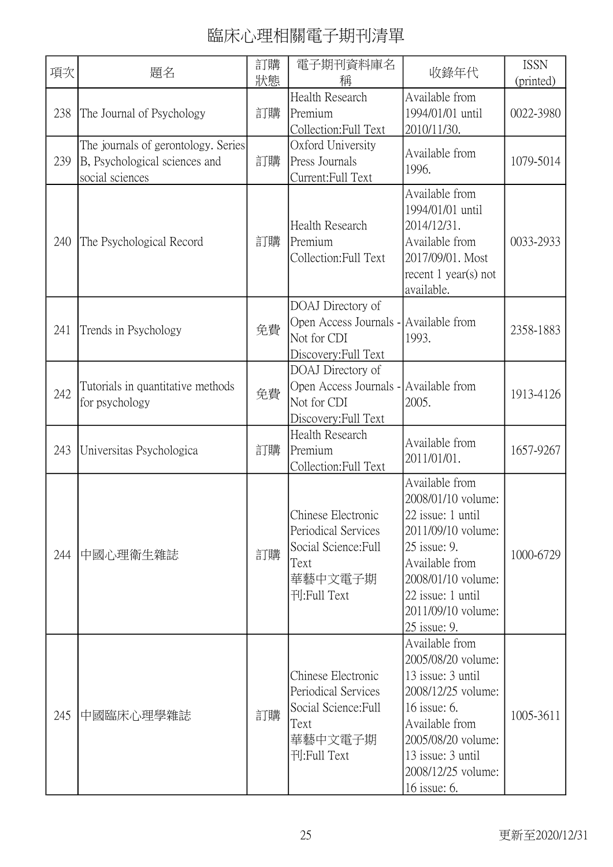| 項次  | 題名                                                                                      | 訂購<br>狀態 | 電子期刊資料庫名<br>稱                                                                                       | 收錄年代                                                                                                                                                                                               | <b>ISSN</b><br>(printed) |
|-----|-----------------------------------------------------------------------------------------|----------|-----------------------------------------------------------------------------------------------------|----------------------------------------------------------------------------------------------------------------------------------------------------------------------------------------------------|--------------------------|
| 238 | The Journal of Psychology                                                               | 訂購       | Health Research<br>Premium<br>Collection: Full Text                                                 | Available from<br>1994/01/01 until<br>2010/11/30.                                                                                                                                                  | 0022-3980                |
| 239 | The journals of gerontology. Series<br>B, Psychological sciences and<br>social sciences | 訂購       | Oxford University<br>Press Journals<br>Current:Full Text                                            | Available from<br>1996.                                                                                                                                                                            | 1079-5014                |
| 240 | The Psychological Record                                                                | 訂購       | Health Research<br>Premium<br>Collection:Full Text                                                  | Available from<br>1994/01/01 until<br>2014/12/31.<br>Available from<br>2017/09/01. Most<br>recent $1$ year(s) not<br>available.                                                                    | 0033-2933                |
| 241 | Trends in Psychology                                                                    | 免費       | DOAJ Directory of<br>Open Access Journals - Available from<br>Not for CDI<br>Discovery: Full Text   | 1993.                                                                                                                                                                                              | 2358-1883                |
| 242 | Tutorials in quantitative methods<br>for psychology                                     | 免費       | DOAJ Directory of<br>Open Access Journals - Available from<br>Not for CDI<br>Discovery: Full Text   | 2005.                                                                                                                                                                                              | 1913-4126                |
| 243 | Universitas Psychologica                                                                | 訂購       | Health Research<br>Premium<br>Collection: Full Text                                                 | Available from<br>2011/01/01.                                                                                                                                                                      | 1657-9267                |
| 244 | 中國心理衛生雜誌                                                                                | 訂購       | Chinese Electronic<br>Periodical Services<br>Social Science: Full<br>Text<br>華藝中文電子期<br>刊:Full Text | Available from<br>2008/01/10 volume:<br>22 issue: 1 until<br>2011/09/10 volume:<br>25 issue: 9.<br>Available from<br>2008/01/10 volume:<br>22 issue: 1 until<br>2011/09/10 volume:<br>25 issue: 9. | 1000-6729                |
| 245 | 中國臨床心理學雜誌                                                                               | 訂購       | Chinese Electronic<br>Periodical Services<br>Social Science: Full<br>Text<br>華藝中文電子期<br>刊:Full Text | Available from<br>2005/08/20 volume:<br>13 issue: 3 until<br>2008/12/25 volume:<br>16 issue: 6.<br>Available from<br>2005/08/20 volume:<br>13 issue: 3 until<br>2008/12/25 volume:<br>16 issue: 6. | 1005-3611                |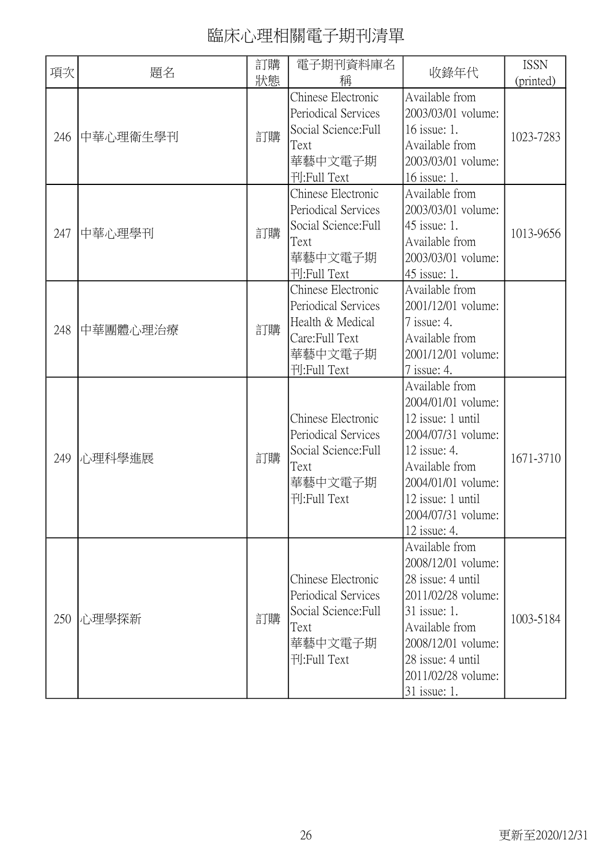| 項次  | 題名       | 訂購<br>狀態 | 電子期刊資料庫名<br>稱                                                                                             | 收錄年代                                                                                                                                                                                               | <b>ISSN</b><br>(printed) |
|-----|----------|----------|-----------------------------------------------------------------------------------------------------------|----------------------------------------------------------------------------------------------------------------------------------------------------------------------------------------------------|--------------------------|
| 246 | 中華心理衛生學刊 | 訂購       | Chinese Electronic<br>Periodical Services<br>Social Science: Full<br>Text<br>華藝中文電子期<br>刊:Full Text       | Available from<br>2003/03/01 volume:<br>16 issue: 1.<br>Available from<br>2003/03/01 volume:<br>16 issue: 1.                                                                                       | 1023-7283                |
| 247 | 中華心理學刊   | 訂購       | Chinese Electronic<br>Periodical Services<br>Social Science: Full<br>Text<br>華藝中文電子期<br>刊:Full Text       | Available from<br>2003/03/01 volume:<br>45 issue: 1.<br>Available from<br>2003/03/01 volume:<br>45 issue: 1.                                                                                       | 1013-9656                |
| 248 | 中華團體心理治療 | 訂購       | Chinese Electronic<br>Periodical Services<br>Health & Medical<br>Care:Full Text<br>華藝中文電子期<br>刊:Full Text | Available from<br>2001/12/01 volume:<br>7 issue: 4.<br>Available from<br>2001/12/01 volume:<br>7 issue: 4.                                                                                         |                          |
| 249 | 心理科學進展   | 訂購       | Chinese Electronic<br>Periodical Services<br>Social Science: Full<br>Text<br>華藝中文電子期<br>刊:Full Text       | Available from<br>2004/01/01 volume:<br>12 issue: 1 until<br>2004/07/31 volume:<br>12 issue: 4.<br>Available from<br>2004/01/01 volume:<br>12 issue: 1 until<br>2004/07/31 volume:<br>12 issue: 4. | 1671-3710                |
| 250 | 心理學探新    | 訂購       | Chinese Electronic<br>Periodical Services<br>Social Science: Full<br>Text<br>華藝中文電子期<br>刊:Full Text       | Available from<br>2008/12/01 volume:<br>28 issue: 4 until<br>2011/02/28 volume:<br>31 issue: 1.<br>Available from<br>2008/12/01 volume:<br>28 issue: 4 until<br>2011/02/28 volume:<br>31 issue: 1. | 1003-5184                |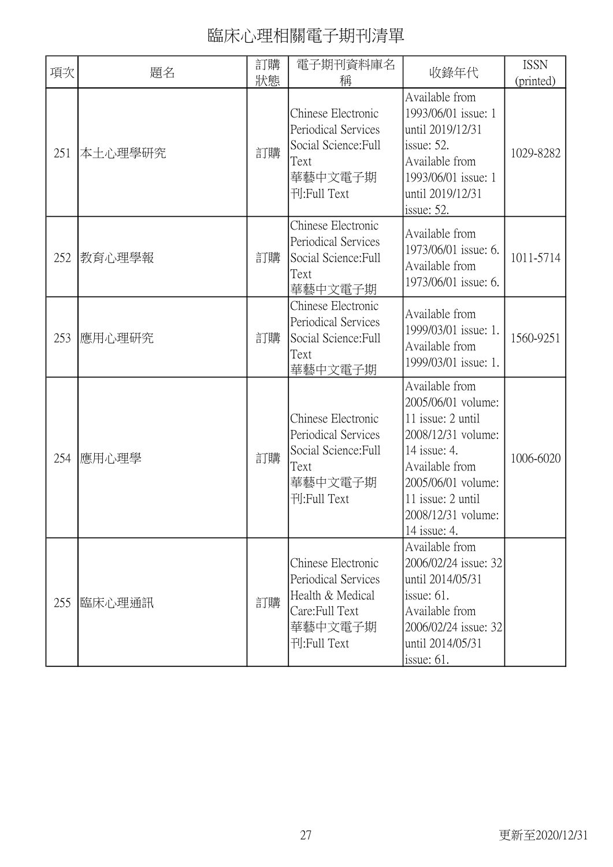| 項次  | 題名      | 訂購<br>狀態 | 電子期刊資料庫名<br>稱                                                                                             | 收錄年代                                                                                                                                                                                               | <b>ISSN</b><br>(printed) |
|-----|---------|----------|-----------------------------------------------------------------------------------------------------------|----------------------------------------------------------------------------------------------------------------------------------------------------------------------------------------------------|--------------------------|
| 251 | 本土心理學研究 | 訂購       | Chinese Electronic<br>Periodical Services<br>Social Science: Full<br>Text<br>華藝中文電子期<br>刊:Full Text       | Available from<br>1993/06/01 issue: 1<br>until 2019/12/31<br>issue: $52$ .<br>Available from<br>1993/06/01 issue: 1<br>until 2019/12/31<br>issue: $52$ .                                           | 1029-8282                |
| 252 | 教育心理學報  | 訂購       | Chinese Electronic<br>Periodical Services<br>Social Science: Full<br>Text<br>華藝中文電子期                      | Available from<br>1973/06/01 issue: 6.<br>Available from<br>1973/06/01 issue: 6.                                                                                                                   | 1011-5714                |
| 253 | 應用心理研究  | 訂購       | Chinese Electronic<br>Periodical Services<br>Social Science: Full<br>Text<br>華藝中文電子期                      | Available from<br>1999/03/01 issue: 1.<br>Available from<br>1999/03/01 issue: 1.                                                                                                                   | 1560-9251                |
| 254 | 應用心理學   | 訂購       | Chinese Electronic<br>Periodical Services<br>Social Science: Full<br>Text<br>華藝中文電子期<br>刊:Full Text       | Available from<br>2005/06/01 volume:<br>11 issue: 2 until<br>2008/12/31 volume:<br>14 issue: 4.<br>Available from<br>2005/06/01 volume:<br>11 issue: 2 until<br>2008/12/31 volume:<br>14 issue: 4. | 1006-6020                |
| 255 | 臨床心理通訊  | 訂購       | Chinese Electronic<br>Periodical Services<br>Health & Medical<br>Care:Full Text<br>華藝中文電子期<br>刊:Full Text | Available from<br>2006/02/24 issue: 32<br>until 2014/05/31<br>issue: $61$ .<br>Available from<br>2006/02/24 issue: 32<br>until 2014/05/31<br>issue: $61$ .                                         |                          |